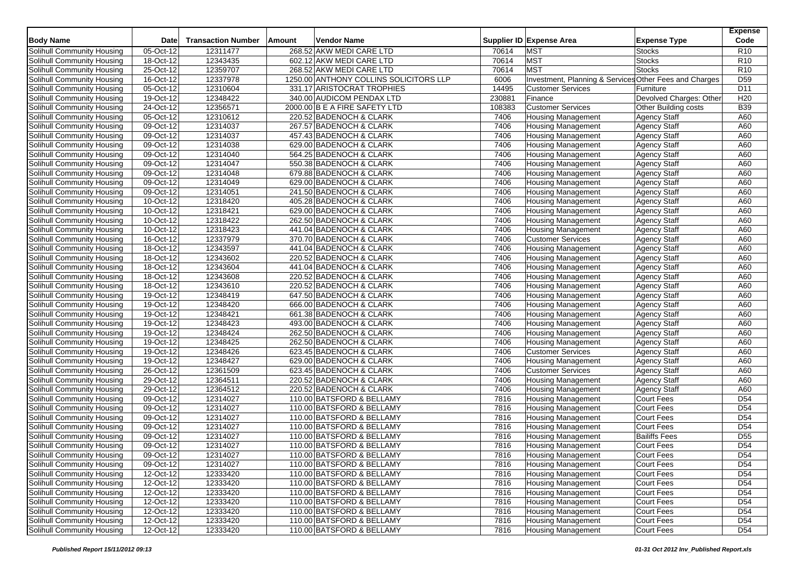| <b>Body Name</b>           | Date                           | <b>Transaction Number</b> | Amount | <b>Vendor Name</b>                     |        | Supplier ID Expense Area                               | <b>Expense Type</b>         | <b>Expense</b><br>Code |
|----------------------------|--------------------------------|---------------------------|--------|----------------------------------------|--------|--------------------------------------------------------|-----------------------------|------------------------|
| Solihull Community Housing | 05-Oct-12                      | 12311477                  |        | 268.52 AKW MEDI CARE LTD               | 70614  | <b>MST</b>                                             | <b>Stocks</b>               | R <sub>10</sub>        |
| Solihull Community Housing | 18-Oct-12                      | 12343435                  |        | 602.12 AKW MEDI CARE LTD               | 70614  | <b>MST</b>                                             | <b>Stocks</b>               | R <sub>10</sub>        |
| Solihull Community Housing | 25-Oct-12                      | 12359707                  |        | 268.52 AKW MEDI CARE LTD               | 70614  | <b>MST</b>                                             | <b>Stocks</b>               | R <sub>10</sub>        |
| Solihull Community Housing | $\overline{16}$ -Oct-12        | 12337978                  |        | 1250.00 ANTHONY COLLINS SOLICITORS LLP | 6006   | Investment, Planning & Services Other Fees and Charges |                             | D <sub>59</sub>        |
| Solihull Community Housing | 05-Oct-12                      | 12310604                  |        | 331.17 ARISTOCRAT TROPHIES             | 14495  | <b>Customer Services</b>                               | Furniture                   | D11                    |
| Solihull Community Housing | 19-Oct-12                      | 12348422                  |        | 340.00 AUDICOM PENDAX LTD              | 230881 | Finance                                                | Devolved Charges: Other     | H <sub>20</sub>        |
| Solihull Community Housing | 24-Oct-12                      | 12356571                  |        | 2000.00 B E A FIRE SAFETY LTD          | 108383 | <b>Customer Services</b>                               | <b>Other Building costs</b> | <b>B39</b>             |
| Solihull Community Housing | 05-Oct-12                      | 12310612                  |        | 220.52 BADENOCH & CLARK                | 7406   | <b>Housing Management</b>                              | <b>Agency Staff</b>         | A60                    |
| Solihull Community Housing | 09-Oct-12                      | 12314037                  |        | 267.57 BADENOCH & CLARK                | 7406   | <b>Housing Management</b>                              | Agency Staff                | A60                    |
| Solihull Community Housing | 09-Oct-12                      | 12314037                  |        | 457.43 BADENOCH & CLARK                | 7406   | <b>Housing Management</b>                              | <b>Agency Staff</b>         | A60                    |
| Solihull Community Housing | 09-Oct-12                      | 12314038                  |        | 629.00 BADENOCH & CLARK                | 7406   | <b>Housing Management</b>                              | Agency Staff                | A60                    |
| Solihull Community Housing | 09-Oct-12                      | 12314040                  |        | 564.25 BADENOCH & CLARK                | 7406   | <b>Housing Management</b>                              | Agency Staff                | A60                    |
| Solihull Community Housing | 09-Oct-12                      | 12314047                  |        | 550.38 BADENOCH & CLARK                | 7406   | <b>Housing Management</b>                              | <b>Agency Staff</b>         | A60                    |
| Solihull Community Housing | $\overline{09\text{-}0}$ ct-12 | 12314048                  |        | 679.88 BADENOCH & CLARK                | 7406   | <b>Housing Management</b>                              | <b>Agency Staff</b>         | A60                    |
| Solihull Community Housing | 09-Oct-12                      | 12314049                  |        | 629.00 BADENOCH & CLARK                | 7406   | <b>Housing Management</b>                              | Agency Staff                | A60                    |
| Solihull Community Housing | 09-Oct-12                      | 12314051                  |        | 241.50 BADENOCH & CLARK                | 7406   | <b>Housing Management</b>                              | <b>Agency Staff</b>         | A60                    |
| Solihull Community Housing | 10-Oct-12                      | 12318420                  |        | 405.28 BADENOCH & CLARK                | 7406   | <b>Housing Management</b>                              | Agency Staff                | A60                    |
| Solihull Community Housing | 10-Oct-12                      | 12318421                  |        | 629.00 BADENOCH & CLARK                | 7406   | <b>Housing Management</b>                              | Agency Staff                | A60                    |
| Solihull Community Housing | 10-Oct-12                      | 12318422                  |        | 262.50 BADENOCH & CLARK                | 7406   | <b>Housing Management</b>                              | Agency Staff                | A60                    |
| Solihull Community Housing | 10-Oct-12                      | 12318423                  |        | 441.04 BADENOCH & CLARK                | 7406   | <b>Housing Management</b>                              | <b>Agency Staff</b>         | A60                    |
| Solihull Community Housing | 16-Oct-12                      | 12337979                  |        | 370.70 BADENOCH & CLARK                | 7406   | <b>Customer Services</b>                               | <b>Agency Staff</b>         | A60                    |
| Solihull Community Housing | 18-Oct-12                      | 12343597                  |        | 441.04 BADENOCH & CLARK                | 7406   | <b>Housing Management</b>                              | <b>Agency Staff</b>         | A60                    |
| Solihull Community Housing | 18-Oct-12                      | 12343602                  |        | 220.52 BADENOCH & CLARK                | 7406   | <b>Housing Management</b>                              | Agency Staff                | A60                    |
| Solihull Community Housing | 18-Oct-12                      | 12343604                  |        | 441.04 BADENOCH & CLARK                | 7406   | <b>Housing Management</b>                              | <b>Agency Staff</b>         | A60                    |
| Solihull Community Housing | 18-Oct-12                      | 12343608                  |        | 220.52 BADENOCH & CLARK                | 7406   | <b>Housing Management</b>                              | Agency Staff                | A60                    |
| Solihull Community Housing | 18-Oct-12                      | 12343610                  |        | 220.52 BADENOCH & CLARK                | 7406   | <b>Housing Management</b>                              | <b>Agency Staff</b>         | A60                    |
| Solihull Community Housing | 19-Oct-12                      | 12348419                  |        | 647.50 BADENOCH & CLARK                | 7406   | <b>Housing Management</b>                              | <b>Agency Staff</b>         | A60                    |
| Solihull Community Housing | 19-Oct-12                      | 12348420                  |        | 666.00 BADENOCH & CLARK                | 7406   | <b>Housing Management</b>                              | Agency Staff                | A60                    |
| Solihull Community Housing | 19-Oct-12                      | 12348421                  |        | 661.38 BADENOCH & CLARK                | 7406   | <b>Housing Management</b>                              | Agency Staff                | A60                    |
| Solihull Community Housing | 19-Oct-12                      | 12348423                  |        | 493.00 BADENOCH & CLARK                | 7406   | <b>Housing Management</b>                              | <b>Agency Staff</b>         | A60                    |
| Solihull Community Housing | 19-Oct-12                      | 12348424                  |        | 262.50 BADENOCH & CLARK                | 7406   | <b>Housing Management</b>                              | <b>Agency Staff</b>         | A60                    |
| Solihull Community Housing | 19-Oct-12                      | 12348425                  |        | 262.50 BADENOCH & CLARK                | 7406   | <b>Housing Management</b>                              | <b>Agency Staff</b>         | A60                    |
| Solihull Community Housing | 19-Oct-12                      | 12348426                  |        | 623.45 BADENOCH & CLARK                | 7406   | <b>Customer Services</b>                               | <b>Agency Staff</b>         | A60                    |
| Solihull Community Housing | 19-Oct-12                      | 12348427                  |        | 629.00 BADENOCH & CLARK                | 7406   | <b>Housing Management</b>                              | Agency Staff                | A60                    |
| Solihull Community Housing | 26-Oct-12                      | 12361509                  |        | 623.45 BADENOCH & CLARK                | 7406   | <b>Customer Services</b>                               | <b>Agency Staff</b>         | A60                    |
| Solihull Community Housing | 29-Oct-12                      | 12364511                  |        | 220.52 BADENOCH & CLARK                | 7406   | <b>Housing Management</b>                              | Agency Staff                | A60                    |
| Solihull Community Housing | 29-Oct-12                      | 12364512                  |        | 220.52 BADENOCH & CLARK                | 7406   | <b>Housing Management</b>                              | Agency Staff                | A60                    |
| Solihull Community Housing | 09-Oct-12                      | 12314027                  |        | 110.00 BATSFORD & BELLAMY              | 7816   | <b>Housing Management</b>                              | <b>Court Fees</b>           | D <sub>54</sub>        |
| Solihull Community Housing | 09-Oct-12                      | 12314027                  |        | 110.00 BATSFORD & BELLAMY              | 7816   | <b>Housing Management</b>                              | Court Fees                  | D <sub>54</sub>        |
| Solihull Community Housing | 09-Oct-12                      | 12314027                  |        | 110.00 BATSFORD & BELLAMY              | 7816   | <b>Housing Management</b>                              | <b>Court Fees</b>           | D <sub>54</sub>        |
| Solihull Community Housing | 09-Oct-12                      | 12314027                  |        | 110.00 BATSFORD & BELLAMY              | 7816   | <b>Housing Management</b>                              | Court Fees                  | D <sub>54</sub>        |
| Solihull Community Housing | 09-Oct-12                      | 12314027                  |        | 110.00 BATSFORD & BELLAMY              | 7816   | Housing Management                                     | <b>Bailiffs Fees</b>        | D <sub>55</sub>        |
| Solihull Community Housing | 09-Oct-12                      | 12314027                  |        | 110.00 BATSFORD & BELLAMY              | 7816   | <b>Housing Management</b>                              | <b>Court Fees</b>           | D <sub>54</sub>        |
| Solihull Community Housing | 09-Oct-12                      | 12314027                  |        | 110.00 BATSFORD & BELLAMY              | 7816   | <b>Housing Management</b>                              | Court Fees                  | D <sub>54</sub>        |
| Solihull Community Housing | 09-Oct-12                      | 12314027                  |        | 110.00 BATSFORD & BELLAMY              | 7816   | <b>Housing Management</b>                              | <b>Court Fees</b>           | D <sub>54</sub>        |
| Solihull Community Housing | 12-Oct-12                      | 12333420                  |        | 110.00 BATSFORD & BELLAMY              | 7816   | <b>Housing Management</b>                              | Court Fees                  | D <sub>54</sub>        |
| Solihull Community Housing | 12-Oct-12                      | 12333420                  |        | 110.00 BATSFORD & BELLAMY              | 7816   | <b>Housing Management</b>                              | Court Fees                  | D <sub>54</sub>        |
| Solihull Community Housing | 12-Oct-12                      | 12333420                  |        | 110.00 BATSFORD & BELLAMY              | 7816   | <b>Housing Management</b>                              | <b>Court Fees</b>           | D <sub>54</sub>        |
| Solihull Community Housing | 12-Oct-12                      | 12333420                  |        | 110.00 BATSFORD & BELLAMY              | 7816   | <b>Housing Management</b>                              | Court Fees                  | D <sub>54</sub>        |
| Solihull Community Housing | 12-Oct-12                      | 12333420                  |        | 110.00 BATSFORD & BELLAMY              | 7816   | <b>Housing Management</b>                              | Court Fees                  | D <sub>54</sub>        |
| Solihull Community Housing | 12-Oct-12                      | 12333420                  |        | 110.00 BATSFORD & BELLAMY              | 7816   | <b>Housing Management</b>                              | <b>Court Fees</b>           | D <sub>54</sub>        |
| Solihull Community Housing | 12-Oct-12                      | 12333420                  |        | 110.00 BATSFORD & BELLAMY              | 7816   | <b>Housing Management</b>                              | <b>Court Fees</b>           | D <sub>54</sub>        |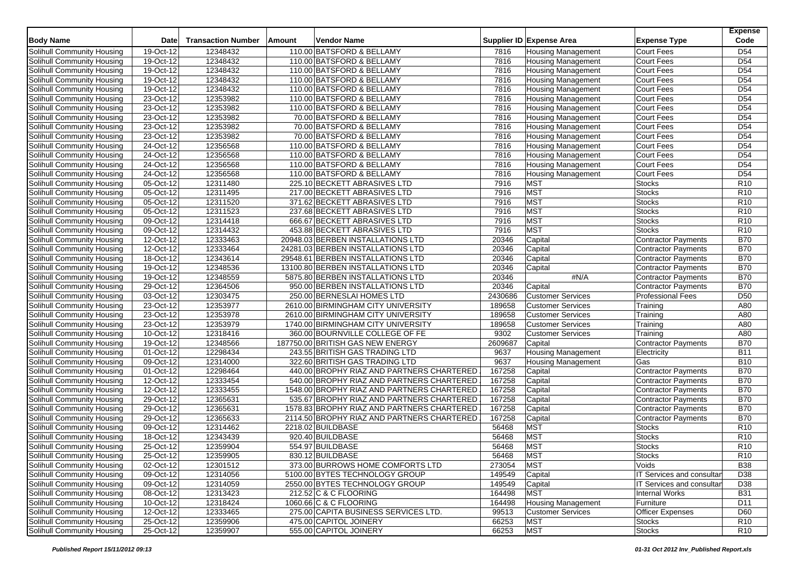| <b>Body Name</b>           | <b>Date</b>            | <b>Transaction Number</b> | Amount | <b>Vendor Name</b>                         |         | Supplier ID Expense Area  | <b>Expense Type</b>        | <b>Expense</b><br>Code |
|----------------------------|------------------------|---------------------------|--------|--------------------------------------------|---------|---------------------------|----------------------------|------------------------|
| Solihull Community Housing | 19-Oct-12              | 12348432                  |        | 110.00 BATSFORD & BELLAMY                  | 7816    | <b>Housing Management</b> | Court Fees                 | D <sub>54</sub>        |
| Solihull Community Housing | 19-Oct-12              | 12348432                  |        | 110.00 BATSFORD & BELLAMY                  | 7816    | <b>Housing Management</b> | <b>Court Fees</b>          | D <sub>54</sub>        |
| Solihull Community Housing | 19-Oct-12              | 12348432                  |        | 110.00 BATSFORD & BELLAMY                  | 7816    | <b>Housing Management</b> | Court Fees                 | D <sub>54</sub>        |
| Solihull Community Housing | 19-Oct-12              | 12348432                  |        | 110.00 BATSFORD & BELLAMY                  | 7816    | <b>Housing Management</b> | Court Fees                 | D <sub>54</sub>        |
| Solihull Community Housing | 19-Oct-12              | 12348432                  |        | 110.00 BATSFORD & BELLAMY                  | 7816    | <b>Housing Management</b> | Court Fees                 | D <sub>54</sub>        |
| Solihull Community Housing | 23-Oct-12              | 12353982                  |        | 110.00 BATSFORD & BELLAMY                  | 7816    | Housing Management        | Court Fees                 | D <sub>54</sub>        |
| Solihull Community Housing | 23-Oct-12              | 12353982                  |        | 110.00 BATSFORD & BELLAMY                  | 7816    | <b>Housing Management</b> | Court Fees                 | D <sub>54</sub>        |
| Solihull Community Housing | 23-Oct-12              | 12353982                  |        | 70.00 BATSFORD & BELLAMY                   | 7816    | <b>Housing Management</b> | Court Fees                 | D <sub>54</sub>        |
| Solihull Community Housing | 23-Oct-12              | 12353982                  |        | 70.00 BATSFORD & BELLAMY                   | 7816    | <b>Housing Management</b> | Court Fees                 | D <sub>54</sub>        |
| Solihull Community Housing | 23-Oct-12              | 12353982                  |        | 70.00 BATSFORD & BELLAMY                   | 7816    | <b>Housing Management</b> | Court Fees                 | D <sub>54</sub>        |
| Solihull Community Housing | 24-Oct-12              | 12356568                  |        | 110.00 BATSFORD & BELLAMY                  | 7816    | <b>Housing Management</b> | Court Fees                 | D <sub>54</sub>        |
| Solihull Community Housing | 24-Oct-12              | 12356568                  |        | 110.00 BATSFORD & BELLAMY                  | 7816    | <b>Housing Management</b> | Court Fees                 | D <sub>54</sub>        |
| Solihull Community Housing | 24-Oct-12              | 12356568                  |        | 110.00 BATSFORD & BELLAMY                  | 7816    | <b>Housing Management</b> | Court Fees                 | D <sub>54</sub>        |
| Solihull Community Housing | 24-Oct-12              | 12356568                  |        | 110.00 BATSFORD & BELLAMY                  | 7816    | <b>Housing Management</b> | Court Fees                 | D <sub>54</sub>        |
| Solihull Community Housing | 05-Oct-12              | 12311480                  |        | 225.10 BECKETT ABRASIVES LTD               | 7916    | <b>MST</b>                | <b>Stocks</b>              | R <sub>10</sub>        |
| Solihull Community Housing | 05-Oct-12              | 12311495                  |        | 217.00 BECKETT ABRASIVES LTD               | 7916    | <b>MST</b>                | <b>Stocks</b>              | R <sub>10</sub>        |
| Solihull Community Housing | 05-Oct-12              | 12311520                  |        | 371.62 BECKETT ABRASIVES LTD               | 7916    | MST                       | <b>Stocks</b>              | R <sub>10</sub>        |
| Solihull Community Housing | 05-Oct-12              | 12311523                  |        | 237.68 BECKETT ABRASIVES LTD               | 7916    | <b>MST</b>                | <b>Stocks</b>              | R10                    |
| Solihull Community Housing | 09-Oct-12              | 12314418                  |        | 666.67 BECKETT ABRASIVES LTD               | 7916    | <b>MST</b>                | <b>Stocks</b>              | R <sub>10</sub>        |
| Solihull Community Housing | 09-Oct-12              | 12314432                  |        | 453.88 BECKETT ABRASIVES LTD               | 7916    | <b>MST</b>                | <b>Stocks</b>              | R10                    |
| Solihull Community Housing | 12-Oct-12              | 12333463                  |        | 20948.03 BERBEN INSTALLATIONS LTD          | 20346   | Capital                   | Contractor Payments        | <b>B70</b>             |
| Solihull Community Housing | 12-Oct-12              | 12333464                  |        | 24281.03 BERBEN INSTALLATIONS LTD          | 20346   | Capital                   | <b>Contractor Payments</b> | <b>B70</b>             |
| Solihull Community Housing | $18-Oct-12$            | 12343614                  |        | 29548.61 BERBEN INSTALLATIONS LTD          | 20346   | Capital                   | Contractor Payments        | <b>B70</b>             |
| Solihull Community Housing | 19-Oct-12              | 12348536                  |        | 13100.80 BERBEN INSTALLATIONS LTD          | 20346   | Capital                   | Contractor Payments        | <b>B70</b>             |
| Solihull Community Housing | 19-Oct-12              | 12348559                  |        | 5875.80 BERBEN INSTALLATIONS LTD           | 20346   | #N/A                      | Contractor Payments        | <b>B70</b>             |
| Solihull Community Housing | 29-Oct-12              | 12364506                  |        | 950.00 BERBEN INSTALLATIONS LTD            | 20346   | Capital                   | Contractor Payments        | <b>B70</b>             |
| Solihull Community Housing | 03-Oct-12              | 12303475                  |        | 250.00 BERNESLAI HOMES LTD                 | 2430686 | <b>Customer Services</b>  | <b>Professional Fees</b>   | D <sub>50</sub>        |
| Solihull Community Housing | 23-Oct-12              | 12353977                  |        | 2610.00 BIRMINGHAM CITY UNIVERSITY         | 189658  | <b>Customer Services</b>  | Training                   | A80                    |
| Solihull Community Housing | 23-Oct-12              | 12353978                  |        | 2610.00 BIRMINGHAM CITY UNIVERSITY         | 189658  | <b>Customer Services</b>  | Training                   | A80                    |
| Solihull Community Housing | 23-Oct-12              | 12353979                  |        | 1740.00 BIRMINGHAM CITY UNIVERSITY         | 189658  | <b>Customer Services</b>  | Training                   | A80                    |
| Solihull Community Housing | 10-Oct-12              | 12318416                  |        | 360.00 BOURNVILLE COLLEGE OF FE            | 9302    | <b>Customer Services</b>  | Training                   | A80                    |
| Solihull Community Housing | 19-Oct-12              | 12348566                  |        | 187750.00 BRITISH GAS NEW ENERGY           | 2609687 | Capital                   | <b>Contractor Payments</b> | <b>B70</b>             |
| Solihull Community Housing | 01-Oct-12              | 12298434                  |        | 243.55 BRITISH GAS TRADING LTD             | 9637    | <b>Housing Management</b> | Electricity                | <b>B11</b>             |
| Solihull Community Housing | 09-Oct-12              | 12314000                  |        | 322.60 BRITISH GAS TRADING LTD             | 9637    | <b>Housing Management</b> | Gas                        | <b>B10</b>             |
| Solihull Community Housing | $\overline{01-Oct-12}$ | 12298464                  |        | 440.00 BROPHY RIAZ AND PARTNERS CHARTERED  | 167258  | Capital                   | <b>Contractor Payments</b> | <b>B70</b>             |
| Solihull Community Housing | 12-Oct-12              | 12333454                  |        | 540.00 BROPHY RIAZ AND PARTNERS CHARTERED  | 167258  | Capital                   | <b>Contractor Payments</b> | <b>B70</b>             |
| Solihull Community Housing | 12-Oct-12              | 12333455                  |        | 1548.00 BROPHY RIAZ AND PARTNERS CHARTERED | 167258  | Capital                   | Contractor Payments        | <b>B70</b>             |
| Solihull Community Housing | 29-Oct-12              | 12365631                  |        | 535.67 BROPHY RIAZ AND PARTNERS CHARTERED  | 167258  | Capital                   | <b>Contractor Payments</b> | <b>B70</b>             |
| Solihull Community Housing | 29-Oct-12              | 12365631                  |        | 1578.83 BROPHY RIAZ AND PARTNERS CHARTERED | 167258  | Capital                   | <b>Contractor Payments</b> | <b>B70</b>             |
| Solihull Community Housing | 29-Oct-12              | 12365633                  |        | 2114.50 BROPHY RIAZ AND PARTNERS CHARTERED | 167258  | Capital                   | <b>Contractor Payments</b> | <b>B70</b>             |
| Solihull Community Housing | 09-Oct-12              | 12314462                  |        | 2218.02 BUILDBASE                          | 56468   | <b>MST</b>                | <b>Stocks</b>              | R <sub>10</sub>        |
| Solihull Community Housing | 18-Oct-12              | 12343439                  |        | 920.40 BUILDBASE                           | 56468   | <b>MST</b>                | <b>Stocks</b>              | R <sub>10</sub>        |
| Solihull Community Housing | 25-Oct-12              | 12359904                  |        | 554.97 BUILDBASE                           | 56468   | <b>MST</b>                | <b>Stocks</b>              | R10                    |
| Solihull Community Housing | 25-Oct-12              | 12359905                  |        | 830.12 BUILDBASE                           | 56468   | <b>MST</b>                | Stocks                     | R <sub>10</sub>        |
| Solihull Community Housing | 02-Oct-12              | 12301512                  |        | 373.00 BURROWS HOME COMFORTS LTD           | 273054  | <b>MST</b>                | Voids                      | <b>B38</b>             |
| Solihull Community Housing | 09-Oct-12              | 12314056                  |        | 5100.00 BYTES TECHNOLOGY GROUP             | 149549  | Capital                   | IT Services and consultar  | D38                    |
| Solihull Community Housing | 09-Oct-12              | 12314059                  |        | 2550.00 BYTES TECHNOLOGY GROUP             | 149549  | Capital                   | IT Services and consultar  | D38                    |
| Solihull Community Housing | 08-Oct-12              | 12313423                  |        | 212.52 C & C FLOORING                      | 164498  | <b>MST</b>                | <b>Internal Works</b>      | <b>B31</b>             |
| Solihull Community Housing | 10-Oct-12              | 12318424                  |        | 1060.66 C & C FLOORING                     | 164498  | <b>Housing Management</b> | Furniture                  | D <sub>11</sub>        |
| Solihull Community Housing | $12-Oct-12$            | 12333465                  |        | 275.00 CAPITA BUSINESS SERVICES LTD.       | 99513   | <b>Customer Services</b>  | <b>Officer Expenses</b>    | D60                    |
| Solihull Community Housing | 25-Oct-12              | 12359906                  |        | 475.00 CAPITOL JOINERY                     | 66253   | <b>MST</b>                | <b>Stocks</b>              | <b>R10</b>             |
| Solihull Community Housing | 25-Oct-12              | 12359907                  |        | 555.00 CAPITOL JOINERY                     | 66253   | <b>MST</b>                | <b>Stocks</b>              | R <sub>10</sub>        |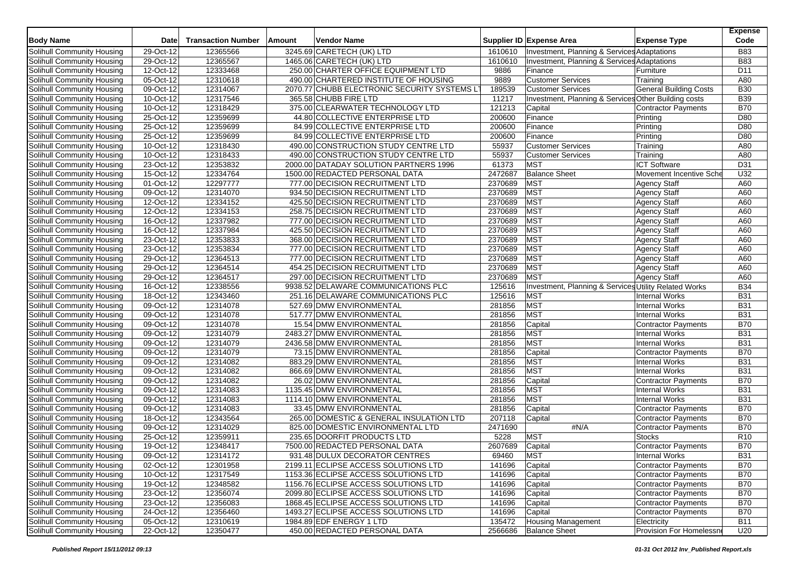| <b>Body Name</b>                  | Date        | <b>Transaction Number</b> | Amount | <b>Vendor Name</b>                           |         | Supplier ID Expense Area                              | <b>Expense Type</b>           | <b>Expense</b><br>Code |
|-----------------------------------|-------------|---------------------------|--------|----------------------------------------------|---------|-------------------------------------------------------|-------------------------------|------------------------|
| Solihull Community Housing        | 29-Oct-12   | 12365566                  |        | 3245.69 CARETECH (UK) LTD                    | 1610610 | Investment, Planning & Services Adaptations           |                               | <b>B83</b>             |
| Solihull Community Housing        | 29-Oct-12   | 12365567                  |        | 1465.06 CARETECH (UK) LTD                    | 1610610 | Investment, Planning & Services Adaptations           |                               | <b>B83</b>             |
| Solihull Community Housing        | 12-Oct-12   | 12333468                  |        | 250.00 CHARTER OFFICE EQUIPMENT LTD          | 9886    | Finance                                               | Furniture                     | D <sub>11</sub>        |
| Solihull Community Housing        | 05-Oct-12   | 12310618                  |        | 490.00 CHARTERED INSTITUTE OF HOUSING        | 9889    | <b>Customer Services</b>                              | Training                      | A80                    |
| Solihull Community Housing        | 09-Oct-12   | 12314067                  |        | 2070.77 CHUBB ELECTRONIC SECURITY SYSTEMS LT | 189539  | <b>Customer Services</b>                              | <b>General Building Costs</b> | <b>B30</b>             |
| Solihull Community Housing        | $10-Oct-12$ | 12317546                  |        | 365.58 CHUBB FIRE LTD                        | 11217   | Investment, Planning & Services Other Building costs  |                               | <b>B39</b>             |
| Solihull Community Housing        | 10-Oct-12   | 12318429                  |        | 375.00 CLEARWATER TECHNOLOGY LTD             | 121213  | Capital                                               | <b>Contractor Payments</b>    | <b>B70</b>             |
| Solihull Community Housing        | 25-Oct-12   | 12359699                  |        | 44.80 COLLECTIVE ENTERPRISE LTD              | 200600  | Finance                                               | Printing                      | D80                    |
| Solihull Community Housing        | 25-Oct-12   | 12359699                  |        | 84.99 COLLECTIVE ENTERPRISE LTD              | 200600  | Finance                                               | Printing                      | D80                    |
| Solihull Community Housing        | 25-Oct-12   | 12359699                  |        | 84.99 COLLECTIVE ENTERPRISE LTD              | 200600  | Finance                                               | Printing                      | D80                    |
| Solihull Community Housing        | 10-Oct-12   | 12318430                  |        | 490.00 CONSTRUCTION STUDY CENTRE LTD         | 55937   | <b>Customer Services</b>                              | Training                      | A80                    |
| Solihull Community Housing        | 10-Oct-12   | 12318433                  |        | 490.00 CONSTRUCTION STUDY CENTRE LTD         | 55937   | <b>Customer Services</b>                              | Training                      | A80                    |
| Solihull Community Housing        | 23-Oct-12   | 12353832                  |        | 2000.00 DATADAY SOLUTION PARTNERS 1996       | 61373   | <b>MST</b>                                            | <b>ICT Software</b>           | D31                    |
| Solihull Community Housing        | 15-Oct-12   | 12334764                  |        | 1500.00 REDACTED PERSONAL DATA               | 2472687 | <b>Balance Sheet</b>                                  | Movement Incentive Sche       | U32                    |
| Solihull Community Housing        | 01-Oct-12   | 12297777                  |        | 777.00 DECISION RECRUITMENT LTD              | 2370689 | <b>MST</b>                                            | Agency Staff                  | A60                    |
| Solihull Community Housing        | 09-Oct-12   | 12314070                  |        | 934.50 DECISION RECRUITMENT LTD              | 2370689 | <b>MST</b>                                            | Agency Staff                  | A60                    |
| Solihull Community Housing        | 12-Oct-12   | 12334152                  |        | 425.50 DECISION RECRUITMENT LTD              | 2370689 | MST                                                   | Agency Staff                  | A60                    |
| Solihull Community Housing        | 12-Oct-12   | 12334153                  |        | 258.75 DECISION RECRUITMENT LTD              | 2370689 | <b>MST</b>                                            | <b>Agency Staff</b>           | A60                    |
| Solihull Community Housing        | 16-Oct-12   | 12337982                  |        | 777.00 DECISION RECRUITMENT LTD              | 2370689 | <b>MST</b>                                            | <b>Agency Staff</b>           | A60                    |
| Solihull Community Housing        | 16-Oct-12   | 12337984                  |        | 425.50 DECISION RECRUITMENT LTD              | 2370689 | <b>MST</b>                                            | Agency Staff                  | A60                    |
| Solihull Community Housing        | 23-Oct-12   | 12353833                  |        | 368.00 DECISION RECRUITMENT LTD              | 2370689 | MST                                                   | <b>Agency Staff</b>           | A60                    |
| Solihull Community Housing        | 23-Oct-12   | 12353834                  |        | 777.00 DECISION RECRUITMENT LTD              | 2370689 | <b>MST</b>                                            | <b>Agency Staff</b>           | A60                    |
| Solihull Community Housing        | 29-Oct-12   | 12364513                  |        | 777.00 DECISION RECRUITMENT LTD              | 2370689 | <b>MST</b>                                            | Agency Staff                  | A60                    |
| Solihull Community Housing        | 29-Oct-12   | 12364514                  |        | 454.25 DECISION RECRUITMENT LTD              | 2370689 | <b>MST</b>                                            | Agency Staff                  | A60                    |
| Solihull Community Housing        | 29-Oct-12   | 12364517                  |        | 297.00 DECISION RECRUITMENT LTD              | 2370689 | <b>MST</b>                                            | <b>Agency Staff</b>           | A60                    |
| Solihull Community Housing        | 16-Oct-12   | 12338556                  |        | 9938.52 DELAWARE COMMUNICATIONS PLC          | 125616  | Investment, Planning & Services Utility Related Works |                               | <b>B34</b>             |
| Solihull Community Housing        | 18-Oct-12   | 12343460                  |        | 251.16 DELAWARE COMMUNICATIONS PLC           | 125616  | <b>MST</b>                                            | <b>Internal Works</b>         | <b>B31</b>             |
| Solihull Community Housing        | 09-Oct-12   | 12314078                  |        | 527.69 DMW ENVIRONMENTAL                     | 281856  | <b>MST</b>                                            | <b>Internal Works</b>         | <b>B31</b>             |
| Solihull Community Housing        | 09-Oct-12   | 12314078                  |        | 517.77 DMW ENVIRONMENTAL                     | 281856  | <b>MST</b>                                            | <b>Internal Works</b>         | <b>B31</b>             |
| Solihull Community Housing        | 09-Oct-12   | 12314078                  |        | 15.54 DMW ENVIRONMENTAL                      | 281856  | Capital                                               | Contractor Payments           | <b>B70</b>             |
| Solihull Community Housing        | 09-Oct-12   | 12314079                  |        | 2483.27 DMW ENVIRONMENTAL                    | 281856  | <b>MST</b>                                            | Internal Works                | <b>B31</b>             |
| Solihull Community Housing        | 09-Oct-12   | 12314079                  |        | 2436.58 DMW ENVIRONMENTAL                    | 281856  | <b>MST</b>                                            | <b>Internal Works</b>         | <b>B31</b>             |
| Solihull Community Housing        | 09-Oct-12   | 12314079                  |        | 73.15 DMW ENVIRONMENTAL                      | 281856  | Capital                                               | Contractor Payments           | <b>B70</b>             |
| Solihull Community Housing        | 09-Oct-12   | 12314082                  |        | 883.29 DMW ENVIRONMENTAL                     | 281856  | MST                                                   | <b>Internal Works</b>         | <b>B31</b>             |
| Solihull Community Housing        | 09-Oct-12   | 12314082                  |        | 866.69 DMW ENVIRONMENTAL                     | 281856  | <b>MST</b>                                            | <b>Internal Works</b>         | <b>B31</b>             |
| Solihull Community Housing        | 09-Oct-12   | 12314082                  |        | 26.02 DMW ENVIRONMENTAL                      | 281856  | Capital                                               | Contractor Payments           | <b>B70</b>             |
| Solihull Community Housing        | 09-Oct-12   | 12314083                  |        | 1135.45 DMW ENVIRONMENTAL                    | 281856  | <b>MST</b>                                            | <b>Internal Works</b>         | <b>B31</b>             |
| Solihull Community Housing        | 09-Oct-12   | 12314083                  |        | 1114.10 DMW ENVIRONMENTAL                    | 281856  | <b>MST</b>                                            | <b>Internal Works</b>         | <b>B31</b>             |
| Solihull Community Housing        | 09-Oct-12   | 12314083                  |        | 33.45 DMW ENVIRONMENTAL                      | 281856  | Capital                                               | <b>Contractor Payments</b>    | <b>B70</b>             |
| Solihull Community Housing        | 18-Oct-12   | 12343564                  |        | 265.00 DOMESTIC & GENERAL INSULATION LTD     | 207118  | Capital                                               | Contractor Payments           | <b>B70</b>             |
| Solihull Community Housing        | 09-Oct-12   | 12314029                  |        | 825.00 DOMESTIC ENVIRONMENTAL LTD            | 2471690 | #N/A                                                  | <b>Contractor Payments</b>    | <b>B70</b>             |
| Solihull Community Housing        | 25-Oct-12   | 12359911                  |        | 235.65 DOORFIT PRODUCTS LTD                  | 5228    | <b>MST</b>                                            | <b>Stocks</b>                 | R10                    |
| Solihull Community Housing        | 19-Oct-12   | 12348417                  |        | 7500.00 REDACTED PERSONAL DATA               | 2607689 | Capital                                               | Contractor Payments           | <b>B70</b>             |
| Solihull Community Housing        | 09-Oct-12   | 12314172                  |        | 931.48 DULUX DECORATOR CENTRES               | 69460   | <b>MST</b>                                            | <b>Internal Works</b>         | <b>B31</b>             |
| Solihull Community Housing        | 02-Oct-12   | 12301958                  |        | 2199.11 ECLIPSE ACCESS SOLUTIONS LTD         | 141696  | Capital                                               | Contractor Payments           | <b>B70</b>             |
| Solihull Community Housing        | 10-Oct-12   | 12317549                  |        | 1153.36 ECLIPSE ACCESS SOLUTIONS LTD         | 141696  | Capital                                               | Contractor Payments           | <b>B70</b>             |
| Solihull Community Housing        | 19-Oct-12   | 12348582                  |        | 1156.76 ECLIPSE ACCESS SOLUTIONS LTD         | 141696  | Capital                                               | Contractor Payments           | <b>B70</b>             |
| Solihull Community Housing        | 23-Oct-12   | 12356074                  |        | 2099.80 ECLIPSE ACCESS SOLUTIONS LTD         | 141696  | Capital                                               | Contractor Payments           | <b>B70</b>             |
| Solihull Community Housing        | 23-Oct-12   | 12356083                  |        | 1868.45 ECLIPSE ACCESS SOLUTIONS LTD         | 141696  | Capital                                               | Contractor Payments           | <b>B70</b>             |
| <b>Solihull Community Housing</b> | 24-Oct-12   | 12356460                  |        | 1493.27 ECLIPSE ACCESS SOLUTIONS LTD         | 141696  | Capital                                               | Contractor Payments           | <b>B70</b>             |
| Solihull Community Housing        | 05-Oct-12   | 12310619                  |        | 1984.89 EDF ENERGY 1 LTD                     | 135472  | <b>Housing Management</b>                             | Electricity                   | <b>B11</b>             |
| Solihull Community Housing        | 22-Oct-12   | 12350477                  |        | 450.00 REDACTED PERSONAL DATA                | 2566686 | <b>Balance Sheet</b>                                  | Provision For Homelessn       | U20                    |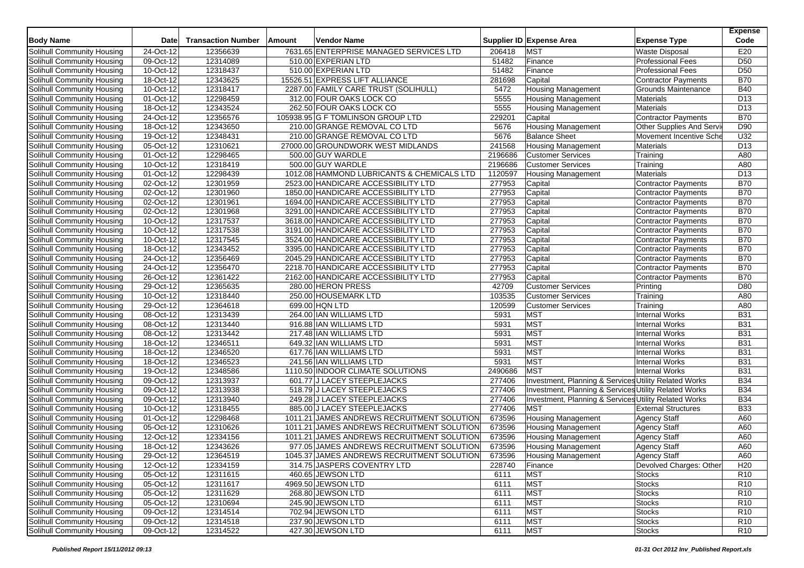| <b>Body Name</b>                  | Date                    | <b>Transaction Number</b> | Amount | <b>Vendor Name</b>                         |         | Supplier ID Expense Area                              | <b>Expense Type</b>        | <b>Expense</b><br>Code |
|-----------------------------------|-------------------------|---------------------------|--------|--------------------------------------------|---------|-------------------------------------------------------|----------------------------|------------------------|
| Solihull Community Housing        | 24-Oct-12               | 12356639                  |        | 7631.65 ENTERPRISE MANAGED SERVICES LTD    | 206418  | <b>MST</b>                                            | <b>Waste Disposal</b>      | E20                    |
| Solihull Community Housing        | 09-Oct-12               | 12314089                  |        | 510.00 EXPERIAN LTD                        | 51482   | Finance                                               | <b>Professional Fees</b>   | D <sub>50</sub>        |
| Solihull Community Housing        | 10-Oct-12               | 12318437                  |        | 510.00 EXPERIAN LTD                        | 51482   | Finance                                               | <b>Professional Fees</b>   | D <sub>50</sub>        |
| Solihull Community Housing        | 18-Oct-12               | 12343625                  |        | 15526.51 EXPRESS LIFT ALLIANCE             | 281698  | Capital                                               | Contractor Payments        | <b>B70</b>             |
| Solihull Community Housing        | 10-Oct-12               | 12318417                  |        | 2287.00 FAMILY CARE TRUST (SOLIHULL)       | 5472    | <b>Housing Management</b>                             | <b>Grounds Maintenance</b> | <b>B40</b>             |
| Solihull Community Housing        | 01-Oct-12               | 12298459                  |        | 312.00 FOUR OAKS LOCK CO                   | 5555    | <b>Housing Management</b>                             | Materials                  | D <sub>13</sub>        |
| Solihull Community Housing        | 18-Oct-12               | 12343524                  |        | 262.50 FOUR OAKS LOCK CO                   | 5555    | <b>Housing Management</b>                             | <b>Materials</b>           | D13                    |
| Solihull Community Housing        | 24-Oct-12               | 12356576                  |        | 105938.95 G F TOMLINSON GROUP LTD          | 229201  | Capital                                               | Contractor Payments        | <b>B70</b>             |
| Solihull Community Housing        | 18-Oct-12               | 12343650                  |        | 210.00 GRANGE REMOVAL CO LTD               | 5676    | <b>Housing Management</b>                             | Other Supplies And Servi   | D90                    |
| Solihull Community Housing        | 19-Oct-12               | 12348431                  |        | 210.00 GRANGE REMOVAL CO LTD               | 5676    | <b>Balance Sheet</b>                                  | Movement Incentive Sche    | U32                    |
| Solihull Community Housing        | 05-Oct-12               | 12310621                  |        | 27000.00 GROUNDWORK WEST MIDLANDS          | 241568  | <b>Housing Management</b>                             | <b>Materials</b>           | D <sub>13</sub>        |
| Solihull Community Housing        | 01-Oct-12               | 12298465                  |        | 500.00 GUY WARDLE                          | 2196686 | <b>Customer Services</b>                              | Training                   | A80                    |
| Solihull Community Housing        | 10-Oct-12               | 12318419                  |        | 500.00 GUY WARDLE                          | 2196686 | <b>Customer Services</b>                              | Training                   | A80                    |
| Solihull Community Housing        | 01-Oct-12               | 12298439                  |        | 1012.08 HAMMOND LUBRICANTS & CHEMICALS LTD | 1120597 | <b>Housing Management</b>                             | <b>Materials</b>           | D <sub>13</sub>        |
| Solihull Community Housing        | 02-Oct-12               | 12301959                  |        | 2523.00 HANDICARE ACCESSIBILITY LTD        | 277953  | Capital                                               | Contractor Payments        | <b>B70</b>             |
| Solihull Community Housing        | 02-Oct-12               | 12301960                  |        | 1850.00 HANDICARE ACCESSIBILITY LTD        | 277953  | Capital                                               | <b>Contractor Payments</b> | <b>B70</b>             |
| Solihull Community Housing        | 02-Oct-12               | 12301961                  |        | 1694.00 HANDICARE ACCESSIBILITY LTD        | 277953  | Capital                                               | Contractor Payments        | <b>B70</b>             |
| Solihull Community Housing        | 02-Oct-12               | 12301968                  |        | 3291.00 HANDICARE ACCESSIBILITY LTD        | 277953  | Capital                                               | Contractor Payments        | <b>B70</b>             |
| Solihull Community Housing        | 10-Oct-12               | 12317537                  |        | 3618.00 HANDICARE ACCESSIBILITY LTD        | 277953  | Capital                                               | <b>Contractor Payments</b> | <b>B70</b>             |
| Solihull Community Housing        | 10-Oct-12               | 12317538                  |        | 3191.00 HANDICARE ACCESSIBILITY LTD        | 277953  | Capital                                               | Contractor Payments        | <b>B70</b>             |
| Solihull Community Housing        | 10-Oct-12               | 12317545                  |        | 3524.00 HANDICARE ACCESSIBILITY LTD        | 277953  | Capital                                               | Contractor Payments        | <b>B70</b>             |
| Solihull Community Housing        | 18-Oct-12               | 12343452                  |        | 3395.00 HANDICARE ACCESSIBILITY LTD        | 277953  | Capital                                               | Contractor Payments        | <b>B70</b>             |
| Solihull Community Housing        | 24-Oct-12               | 12356469                  |        | 2045.29 HANDICARE ACCESSIBILITY LTD        | 277953  | Capital                                               | Contractor Payments        | <b>B70</b>             |
| Solihull Community Housing        | 24-Oct-12               | 12356470                  |        | 2218.70 HANDICARE ACCESSIBILITY LTD        | 277953  | Capital                                               | <b>Contractor Payments</b> | <b>B70</b>             |
| Solihull Community Housing        | 26-Oct-12               | 12361422                  |        | 2162.00 HANDICARE ACCESSIBILITY LTD        | 277953  | Capital                                               | Contractor Payments        | <b>B70</b>             |
| <b>Solihull Community Housing</b> | 29-Oct-12               | 12365635                  |        | 280.00 HERON PRESS                         | 42709   | <b>Customer Services</b>                              | Printing                   | D80                    |
| Solihull Community Housing        | 10-Oct-12               | 12318440                  |        | 250.00 HOUSEMARK LTD                       | 103535  | <b>Customer Services</b>                              | Training                   | A80                    |
| Solihull Community Housing        | 29-Oct-12               | 12364618                  |        | 699.00 HQN LTD                             | 120599  | <b>Customer Services</b>                              | Training                   | A80                    |
| Solihull Community Housing        | 08-Oct-12               | 12313439                  |        | 264.00 IAN WILLIAMS LTD                    | 5931    | <b>MST</b>                                            | <b>Internal Works</b>      | <b>B31</b>             |
| Solihull Community Housing        | 08-Oct-12               | 12313440                  |        | 916.88 IAN WILLIAMS LTD                    | 5931    | <b>MST</b>                                            | <b>Internal Works</b>      | <b>B31</b>             |
| Solihull Community Housing        | 08-Oct-12               | 12313442                  |        | 217.48 IAN WILLIAMS LTD                    | 5931    | <b>MST</b>                                            | <b>Internal Works</b>      | <b>B31</b>             |
| Solihull Community Housing        | 18-Oct-12               | 12346511                  |        | 649.32 IAN WILLIAMS LTD                    | 5931    | <b>MST</b>                                            | <b>Internal Works</b>      | <b>B31</b>             |
| Solihull Community Housing        | 18-Oct-12               | 12346520                  |        | 617.76 IAN WILLIAMS LTD                    | 5931    | <b>MST</b>                                            | <b>Internal Works</b>      | <b>B31</b>             |
| Solihull Community Housing        | 18-Oct-12               | 12346523                  |        | 241.56 IAN WILLIAMS LTD                    | 5931    | <b>MST</b>                                            | <b>Internal Works</b>      | <b>B31</b>             |
| Solihull Community Housing        | 19-Oct-12               | 12348586                  |        | 1110.50 INDOOR CLIMATE SOLUTIONS           | 2490686 | <b>MST</b>                                            | <b>Internal Works</b>      | <b>B31</b>             |
| Solihull Community Housing        | 09-Oct-12               | 12313937                  |        | 601.77 J LACEY STEEPLEJACKS                | 277406  | Investment, Planning & Services Utility Related Works |                            | <b>B34</b>             |
| Solihull Community Housing        | 09-Oct-12               | 12313938                  |        | 518.79 J LACEY STEEPLEJACKS                | 277406  | Investment, Planning & Services Utility Related Works |                            | <b>B34</b>             |
| Solihull Community Housing        | 09-Oct-12               | 12313940                  |        | 249.28 J LACEY STEEPLEJACKS                | 277406  | Investment, Planning & Services Utility Related Works |                            | <b>B34</b>             |
| Solihull Community Housing        | 10-Oct-12               | 12318455                  |        | 885.00 J LACEY STEEPLEJACKS                | 277406  | <b>MST</b>                                            | <b>External Structures</b> | <b>B33</b>             |
| Solihull Community Housing        | 01-Oct-12               | 12298468                  |        | 1011.21 JAMES ANDREWS RECRUITMENT SOLUTION | 673596  | <b>Housing Management</b>                             | <b>Agency Staff</b>        | A60                    |
| Solihull Community Housing        | 05-Oct-12               | 12310626                  |        | 1011.21 JAMES ANDREWS RECRUITMENT SOLUTION | 673596  | <b>Housing Management</b>                             | <b>Agency Staff</b>        | A60                    |
| Solihull Community Housing        | 12-Oct-12               | 12334156                  |        | 1011.21 JAMES ANDREWS RECRUITMENT SOLUTION | 673596  | <b>Housing Management</b>                             | <b>Agency Staff</b>        | A60                    |
| Solihull Community Housing        | $\overline{18}$ -Oct-12 | 12343626                  |        | 977.05 JAMES ANDREWS RECRUITMENT SOLUTION  | 673596  | <b>Housing Management</b>                             | Agency Staff               | A60                    |
| Solihull Community Housing        | 29-Oct-12               | 12364519                  |        | 1045.37 JAMES ANDREWS RECRUITMENT SOLUTION | 673596  | Housing Management                                    | <b>Agency Staff</b>        | A60                    |
| Solihull Community Housing        | 12-Oct-12               | 12334159                  |        | 314.75 JASPERS COVENTRY LTD                | 228740  | Finance                                               | Devolved Charges: Other    | H <sub>20</sub>        |
| Solihull Community Housing        | 05-Oct-12               | 12311615                  |        | 460.65 JEWSON LTD                          | 6111    | <b>MST</b>                                            | <b>Stocks</b>              | R <sub>10</sub>        |
| Solihull Community Housing        | 05-Oct-12               | 12311617                  |        | 4969.50 JEWSON LTD                         | 6111    | <b>MST</b>                                            | <b>Stocks</b>              | R <sub>10</sub>        |
| Solihull Community Housing        | 05-Oct-12               | 12311629                  |        | 268.80 JEWSON LTD                          | 6111    | MST                                                   | <b>Stocks</b>              | R <sub>10</sub>        |
| Solihull Community Housing        | 05-Oct-12               | 12310694                  |        | 245.90 JEWSON LTD                          | 6111    | <b>MST</b>                                            | <b>Stocks</b>              | R <sub>10</sub>        |
| <b>Solihull Community Housing</b> | 09-Oct-12               | 12314514                  |        | 702.94 JEWSON LTD                          | 6111    | <b>MST</b>                                            | <b>Stocks</b>              | R <sub>10</sub>        |
| Solihull Community Housing        | 09-Oct-12               | 12314518                  |        | 237.90 JEWSON LTD                          | 6111    | <b>MST</b>                                            | <b>Stocks</b>              | R <sub>10</sub>        |
| Solihull Community Housing        | 09-Oct-12               | 12314522                  |        | 427.30 JEWSON LTD                          | 6111    | <b>MST</b>                                            | <b>Stocks</b>              | R <sub>10</sub>        |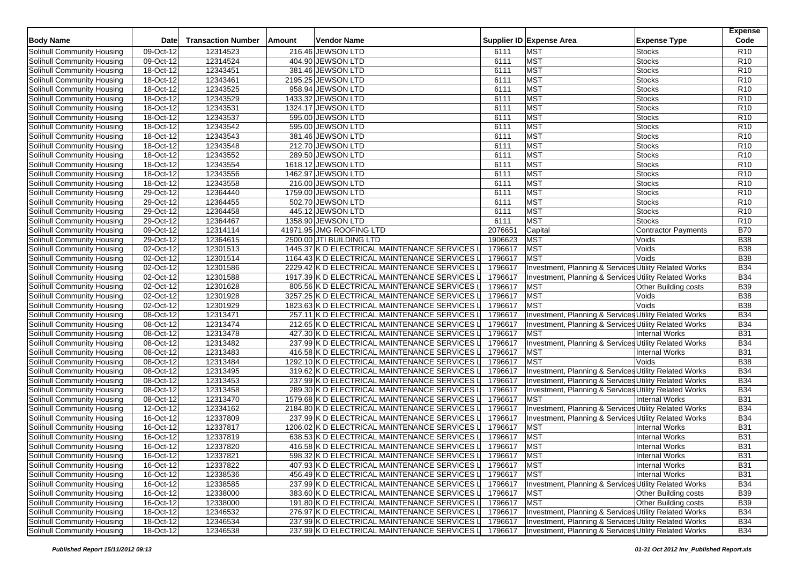| <b>Body Name</b>                  | Date        | <b>Transaction Number</b> | Amount | <b>Vendor Name</b>                            |         | Supplier ID Expense Area                              | <b>Expense Type</b>         | <b>Expense</b><br>Code |
|-----------------------------------|-------------|---------------------------|--------|-----------------------------------------------|---------|-------------------------------------------------------|-----------------------------|------------------------|
| Solihull Community Housing        | 09-Oct-12   | 12314523                  |        | 216.46 JEWSON LTD                             | 6111    | <b>MST</b>                                            | <b>Stocks</b>               | R <sub>10</sub>        |
| Solihull Community Housing        | 09-Oct-12   | 12314524                  |        | 404.90 JEWSON LTD                             | 6111    | <b>MST</b>                                            | <b>Stocks</b>               | R <sub>10</sub>        |
| Solihull Community Housing        | 18-Oct-12   | 12343451                  |        | 381.46 JEWSON LTD                             | 6111    | <b>MST</b>                                            | <b>Stocks</b>               | R <sub>10</sub>        |
| Solihull Community Housing        | 18-Oct-12   | 12343461                  |        | 2195.25 JEWSON LTD                            | 6111    | <b>MST</b>                                            | <b>Stocks</b>               | R <sub>10</sub>        |
| <b>Solihull Community Housing</b> | 18-Oct-12   | 12343525                  |        | 958.94 JEWSON LTD                             | 6111    | MST                                                   | <b>Stocks</b>               | R <sub>10</sub>        |
| Solihull Community Housing        | 18-Oct-12   | 12343529                  |        | 1433.32 JEWSON LTD                            | 6111    | MST                                                   | <b>Stocks</b>               | R <sub>10</sub>        |
| Solihull Community Housing        | 18-Oct-12   | 12343531                  |        | 1324.17 JEWSON LTD                            | 6111    | <b>MST</b>                                            | <b>Stocks</b>               | R10                    |
| Solihull Community Housing        | 18-Oct-12   | 12343537                  |        | 595.00 JEWSON LTD                             | 6111    | MST                                                   | <b>Stocks</b>               | R <sub>10</sub>        |
| Solihull Community Housing        | 18-Oct-12   | 12343542                  |        | 595.00 JEWSON LTD                             | 6111    | <b>MST</b>                                            | <b>Stocks</b>               | R <sub>10</sub>        |
| Solihull Community Housing        | 18-Oct-12   | 12343543                  |        | 381.46 JEWSON LTD                             | 6111    | <b>MST</b>                                            | <b>Stocks</b>               | R <sub>10</sub>        |
| Solihull Community Housing        | 18-Oct-12   | 12343548                  |        | 212.70 JEWSON LTD                             | 6111    | <b>MST</b>                                            | <b>Stocks</b>               | R <sub>10</sub>        |
| Solihull Community Housing        | 18-Oct-12   | 12343552                  |        | 289.50 JEWSON LTD                             | 6111    | <b>MST</b>                                            | <b>Stocks</b>               | R10                    |
| Solihull Community Housing        | 18-Oct-12   | 12343554                  |        | 1618.12 JEWSON LTD                            | 6111    | <b>MST</b>                                            | <b>Stocks</b>               | R <sub>10</sub>        |
| Solihull Community Housing        | 18-Oct-12   | 12343556                  |        | 1462.97 JEWSON LTD                            | 6111    | MST                                                   | <b>Stocks</b>               | R10                    |
| Solihull Community Housing        | 18-Oct-12   | 12343558                  |        | 216.00 JEWSON LTD                             | 6111    | <b>MST</b>                                            | Stocks                      | R <sub>10</sub>        |
| Solihull Community Housing        | 29-Oct-12   | 12364440                  |        | 1759.00 JEWSON LTD                            | 6111    | <b>MST</b>                                            | <b>Stocks</b>               | R <sub>10</sub>        |
| Solihull Community Housing        | 29-Oct-12   | 12364455                  |        | 502.70 JEWSON LTD                             | 6111    | MST                                                   | <b>Stocks</b>               | R <sub>10</sub>        |
| Solihull Community Housing        | 29-Oct-12   | 12364458                  |        | 445.12 JEWSON LTD                             | 6111    | <b>MST</b>                                            | <b>Stocks</b>               | R10                    |
| Solihull Community Housing        | 29-Oct-12   | 12364467                  |        | 1358.90 JEWSON LTD                            | 6111    | <b>MST</b>                                            | <b>Stocks</b>               | R <sub>10</sub>        |
| Solihull Community Housing        | 09-Oct-12   | 12314114                  |        | 41971.95 JMG ROOFING LTD                      | 2076651 | Capital                                               | <b>Contractor Payments</b>  | <b>B70</b>             |
| Solihull Community Housing        | 29-Oct-12   | 12364615                  |        | 2500.00 JTI BUILDING LTD                      | 1906623 | <b>MST</b>                                            | Voids                       | <b>B38</b>             |
| Solihull Community Housing        | 02-Oct-12   | 12301513                  |        | 1445.37 K D ELECTRICAL MAINTENANCE SERVICES L | 1796617 | <b>MST</b>                                            | Voids                       | <b>B38</b>             |
| Solihull Community Housing        | 02-Oct-12   | 12301514                  |        | 1164.43 K D ELECTRICAL MAINTENANCE SERVICES L | 1796617 | <b>MST</b>                                            | Voids                       | <b>B38</b>             |
| Solihull Community Housing        | 02-Oct-12   | 12301586                  |        | 2229.42 K D ELECTRICAL MAINTENANCE SERVICES L | 1796617 | Investment, Planning & Services Utility Related Works |                             | <b>B34</b>             |
| Solihull Community Housing        | 02-Oct-12   | 12301588                  |        | 1917.39 K D ELECTRICAL MAINTENANCE SERVICES L | 1796617 | Investment, Planning & Services Utility Related Works |                             | <b>B34</b>             |
| <b>Solihull Community Housing</b> | 02-Oct-12   | 12301628                  |        | 805.56 K D ELECTRICAL MAINTENANCE SERVICES L  | 1796617 | <b>MST</b>                                            | <b>Other Building costs</b> | <b>B39</b>             |
| Solihull Community Housing        | 02-Oct-12   | 12301928                  |        | 3257.25 K D ELECTRICAL MAINTENANCE SERVICES L | 1796617 | <b>MST</b>                                            | Voids                       | <b>B38</b>             |
| Solihull Community Housing        | $02-Oct-12$ | 12301929                  |        | 1823.63 K D ELECTRICAL MAINTENANCE SERVICES L | 1796617 | MST                                                   | Voids                       | <b>B38</b>             |
| Solihull Community Housing        | 08-Oct-12   | 12313471                  |        | 257.11 K D ELECTRICAL MAINTENANCE SERVICES L  | 1796617 | Investment, Planning & Services Utility Related Works |                             | <b>B34</b>             |
| Solihull Community Housing        | 08-Oct-12   | 12313474                  |        | 212.65 K D ELECTRICAL MAINTENANCE SERVICES L  | 1796617 | Investment, Planning & Services Utility Related Works |                             | <b>B34</b>             |
| Solihull Community Housing        | 08-Oct-12   | 12313478                  |        | 427.30 K D ELECTRICAL MAINTENANCE SERVICES L  | 1796617 | <b>MST</b>                                            | Internal Works              | <b>B31</b>             |
| Solihull Community Housing        | 08-Oct-12   | 12313482                  |        | 237.99 K D ELECTRICAL MAINTENANCE SERVICES L  | 1796617 | Investment, Planning & Services Utility Related Works |                             | <b>B34</b>             |
| Solihull Community Housing        | 08-Oct-12   | 12313483                  |        | 416.58 K D ELECTRICAL MAINTENANCE SERVICES L  | 1796617 | <b>MST</b>                                            | <b>Internal Works</b>       | <b>B31</b>             |
| Solihull Community Housing        | 08-Oct-12   | 12313484                  |        | 1292.10 K D ELECTRICAL MAINTENANCE SERVICES L | 1796617 | MST                                                   | Voids                       | <b>B</b> 38            |
| Solihull Community Housing        | 08-Oct-12   | 12313495                  |        | 319.62 K D ELECTRICAL MAINTENANCE SERVICES L  | 1796617 | Investment, Planning & Services Utility Related Works |                             | <b>B34</b>             |
| Solihull Community Housing        | 08-Oct-12   | 12313453                  |        | 237.99 K D ELECTRICAL MAINTENANCE SERVICES L  | 1796617 | Investment, Planning & Services Utility Related Works |                             | <b>B34</b>             |
| Solihull Community Housing        | 08-Oct-12   | 12313458                  |        | 289.30 K D ELECTRICAL MAINTENANCE SERVICES L  | 1796617 | Investment, Planning & Services Utility Related Works |                             | <b>B34</b>             |
| Solihull Community Housing        | 08-Oct-12   | 12313470                  |        | 1579.68 K D ELECTRICAL MAINTENANCE SERVICES L | 1796617 | <b>MST</b>                                            | Internal Works              | <b>B31</b>             |
| Solihull Community Housing        | 12-Oct-12   | 12334162                  |        | 2184.80 K D ELECTRICAL MAINTENANCE SERVICES L | 1796617 | Investment, Planning & Services Utility Related Works |                             | <b>B34</b>             |
| Solihull Community Housing        | 16-Oct-12   | 12337809                  |        | 237.99 K D ELECTRICAL MAINTENANCE SERVICES L  | 1796617 | Investment, Planning & Services Utility Related Works |                             | <b>B34</b>             |
| Solihull Community Housing        | 16-Oct-12   | 12337817                  |        | 1206.02 K D ELECTRICAL MAINTENANCE SERVICES L | 1796617 | <b>MST</b>                                            | <b>Internal Works</b>       | <b>B31</b>             |
| Solihull Community Housing        | 16-Oct-12   | 12337819                  |        | 638.53 K D ELECTRICAL MAINTENANCE SERVICES L  | 1796617 | <b>MST</b>                                            | <b>Internal Works</b>       | <b>B31</b>             |
| Solihull Community Housing        | 16-Oct-12   | 12337820                  |        | 416.58 K D ELECTRICAL MAINTENANCE SERVICES L  | 1796617 | <b>MST</b>                                            | <b>Internal Works</b>       | <b>B31</b>             |
| Solihull Community Housing        | 16-Oct-12   | 12337821                  |        | 598.32 K D ELECTRICAL MAINTENANCE SERVICES L  | 1796617 | <b>MST</b>                                            | <b>Internal Works</b>       | <b>B31</b>             |
| Solihull Community Housing        | 16-Oct-12   | 12337822                  |        | 407.93 K D ELECTRICAL MAINTENANCE SERVICES L  | 1796617 | MST                                                   | <b>Internal Works</b>       | <b>B31</b>             |
| Solihull Community Housing        | $16-Oct-12$ | 12338536                  |        | 456.49 K D ELECTRICAL MAINTENANCE SERVICES L  | 1796617 | <b>MST</b>                                            | <b>Internal Works</b>       | <b>B31</b>             |
| Solihull Community Housing        | 16-Oct-12   | 12338585                  |        | 237.99 K D ELECTRICAL MAINTENANCE SERVICES L  | 1796617 | Investment, Planning & Services Utility Related Works |                             | <b>B34</b>             |
| Solihull Community Housing        | 16-Oct-12   | 12338000                  |        | 383.60 K D ELECTRICAL MAINTENANCE SERVICES L  | 1796617 | <b>MST</b>                                            | <b>Other Building costs</b> | <b>B39</b>             |
| Solihull Community Housing        | 16-Oct-12   | 12338000                  |        | 191.80 K D ELECTRICAL MAINTENANCE SERVICES L  | 1796617 | <b>MST</b>                                            | <b>Other Building costs</b> | <b>B39</b>             |
| Solihull Community Housing        | 18-Oct-12   | 12346532                  |        | 276.97 K D ELECTRICAL MAINTENANCE SERVICES L  | 1796617 | Investment, Planning & Services Utility Related Works |                             | <b>B34</b>             |
| Solihull Community Housing        | 18-Oct-12   | 12346534                  |        | 237.99 K D ELECTRICAL MAINTENANCE SERVICES L  | 1796617 | Investment, Planning & Services Utility Related Works |                             | <b>B34</b>             |
| Solihull Community Housing        | 18-Oct-12   | 12346538                  |        | 237.99 K D ELECTRICAL MAINTENANCE SERVICES L  | 1796617 | Investment, Planning & Services Utility Related Works |                             | <b>B34</b>             |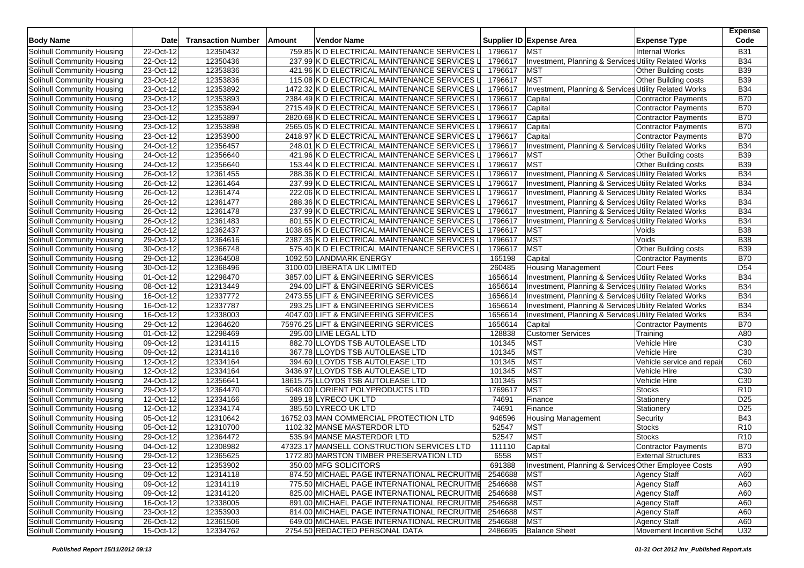| <b>Body Name</b>           | <b>Date</b> | <b>Transaction Number</b> | Amount | <b>Vendor Name</b>                            |         | Supplier ID Expense Area                              | <b>Expense Type</b>         | <b>Expense</b><br>Code |
|----------------------------|-------------|---------------------------|--------|-----------------------------------------------|---------|-------------------------------------------------------|-----------------------------|------------------------|
| Solihull Community Housing | 22-Oct-12   | 12350432                  |        | 759.85 K D ELECTRICAL MAINTENANCE SERVICES    | 1796617 | <b>MST</b>                                            | Internal Works              | <b>B31</b>             |
| Solihull Community Housing | 22-Oct-12   | 12350436                  |        | 237.99 K D ELECTRICAL MAINTENANCE SERVICES L  | 1796617 | Investment, Planning & Services Utility Related Works |                             | <b>B34</b>             |
| Solihull Community Housing | 23-Oct-12   | 12353836                  |        | 421.96 K D ELECTRICAL MAINTENANCE SERVICES L  | 1796617 | <b>MST</b>                                            | <b>Other Building costs</b> | <b>B39</b>             |
| Solihull Community Housing | 23-Oct-12   | 12353836                  |        | 115.08 K D ELECTRICAL MAINTENANCE SERVICES L  | 1796617 | <b>MST</b>                                            | Other Building costs        | <b>B39</b>             |
| Solihull Community Housing | 23-Oct-12   | 12353892                  |        | 1472.32 K D ELECTRICAL MAINTENANCE SERVICES L | 1796617 | Investment, Planning & Services Utility Related Works |                             | <b>B34</b>             |
| Solihull Community Housing | 23-Oct-12   | 12353893                  |        | 2384.49 K D ELECTRICAL MAINTENANCE SERVICES L | 1796617 | Capital                                               | Contractor Payments         | <b>B70</b>             |
| Solihull Community Housing | 23-Oct-12   | 12353894                  |        | 2715.49 K D ELECTRICAL MAINTENANCE SERVICES L | 1796617 | Capital                                               | Contractor Payments         | <b>B70</b>             |
| Solihull Community Housing | 23-Oct-12   | 12353897                  |        | 2820.68 K D ELECTRICAL MAINTENANCE SERVICES L | 1796617 | Capital                                               | <b>Contractor Payments</b>  | <b>B70</b>             |
| Solihull Community Housing | 23-Oct-12   | 12353898                  |        | 2565.05 K D ELECTRICAL MAINTENANCE SERVICES L | 1796617 | Capital                                               | Contractor Payments         | <b>B70</b>             |
| Solihull Community Housing | 23-Oct-12   | 12353900                  |        | 2418.97 K D ELECTRICAL MAINTENANCE SERVICES L | 1796617 | Capital                                               | Contractor Payments         | <b>B70</b>             |
| Solihull Community Housing | 24-Oct-12   | 12356457                  |        | 248.01 K D ELECTRICAL MAINTENANCE SERVICES L  | 1796617 | Investment, Planning & Services Utility Related Works |                             | <b>B34</b>             |
| Solihull Community Housing | 24-Oct-12   | 12356640                  |        | 421.96 K D ELECTRICAL MAINTENANCE SERVICES L  | 1796617 | <b>MST</b>                                            | <b>Other Building costs</b> | <b>B39</b>             |
| Solihull Community Housing | 24-Oct-12   | 12356640                  |        | 153.44 K D ELECTRICAL MAINTENANCE SERVICES L  | 1796617 | <b>MST</b>                                            | Other Building costs        | <b>B39</b>             |
| Solihull Community Housing | 26-Oct-12   | 12361455                  |        | 288.36 K D ELECTRICAL MAINTENANCE SERVICES L  | 1796617 | Investment, Planning & Services Utility Related Works |                             | <b>B34</b>             |
| Solihull Community Housing | 26-Oct-12   | 12361464                  |        | 237.99 K D ELECTRICAL MAINTENANCE SERVICES L  | 1796617 | Investment, Planning & Services Utility Related Works |                             | <b>B34</b>             |
| Solihull Community Housing | 26-Oct-12   | 12361474                  |        | 222.06 K D ELECTRICAL MAINTENANCE SERVICES L  | 1796617 | Investment, Planning & Services Utility Related Works |                             | <b>B34</b>             |
| Solihull Community Housing | 26-Oct-12   | 12361477                  |        | 288.36 K D ELECTRICAL MAINTENANCE SERVICES L  | 1796617 | Investment, Planning & Services Utility Related Works |                             | <b>B34</b>             |
| Solihull Community Housing | 26-Oct-12   | 12361478                  |        | 237.99 K D ELECTRICAL MAINTENANCE SERVICES L  | 1796617 | Investment, Planning & Services Utility Related Works |                             | <b>B34</b>             |
| Solihull Community Housing | 26-Oct-12   | 12361483                  |        | 801.55 K D ELECTRICAL MAINTENANCE SERVICES L  | 1796617 | Investment, Planning & Services Utility Related Works |                             | <b>B34</b>             |
| Solihull Community Housing | 26-Oct-12   | 12362437                  |        | 1038.65 K D ELECTRICAL MAINTENANCE SERVICES L | 1796617 | <b>MST</b>                                            | Voids                       | <b>B38</b>             |
| Solihull Community Housing | 29-Oct-12   | 12364616                  |        | 2387.35 K D ELECTRICAL MAINTENANCE SERVICES L | 1796617 | <b>MST</b>                                            | Voids                       | <b>B38</b>             |
| Solihull Community Housing | 30-Oct-12   | 12366748                  |        | 575.40 K D ELECTRICAL MAINTENANCE SERVICES L  | 1796617 | <b>MST</b>                                            | Other Building costs        | <b>B39</b>             |
| Solihull Community Housing | 29-Oct-12   | 12364508                  |        | 1092.50 LANDMARK ENERGY                       | 165198  | Capital                                               | Contractor Payments         | <b>B70</b>             |
| Solihull Community Housing | 30-Oct-12   | 12368496                  |        | 3100.00 LIBERATA UK LIMITED                   | 260485  | <b>Housing Management</b>                             | <b>Court Fees</b>           | D <sub>54</sub>        |
| Solihull Community Housing | 01-Oct-12   | 12298470                  |        | 3857.00 LIFT & ENGINEERING SERVICES           | 1656614 | Investment, Planning & Services Utility Related Works |                             | <b>B34</b>             |
| Solihull Community Housing | 08-Oct-12   | 12313449                  |        | 294.00 LIFT & ENGINEERING SERVICES            | 1656614 | Investment, Planning & Services Utility Related Works |                             | <b>B34</b>             |
| Solihull Community Housing | 16-Oct-12   | 12337772                  |        | 2473.55 LIFT & ENGINEERING SERVICES           | 1656614 | Investment, Planning & Services Utility Related Works |                             | <b>B34</b>             |
| Solihull Community Housing | 16-Oct-12   | 12337787                  |        | 293.25 LIFT & ENGINEERING SERVICES            | 1656614 | Investment, Planning & Services Utility Related Works |                             | <b>B34</b>             |
| Solihull Community Housing | 16-Oct-12   | 12338003                  |        | 4047.00 LIFT & ENGINEERING SERVICES           | 1656614 | Investment, Planning & Services Utility Related Works |                             | <b>B34</b>             |
| Solihull Community Housing | 29-Oct-12   | 12364620                  |        | 75976.25 LIFT & ENGINEERING SERVICES          | 1656614 | Capital                                               | Contractor Payments         | <b>B70</b>             |
| Solihull Community Housing | 01-Oct-12   | 12298469                  |        | 295.00 LIME LEGAL LTD                         | 128838  | <b>Customer Services</b>                              | Training                    | A80                    |
| Solihull Community Housing | 09-Oct-12   | 12314115                  |        | 882.70 LLOYDS TSB AUTOLEASE LTD               | 101345  | <b>MST</b>                                            | Vehicle Hire                | C30                    |
| Solihull Community Housing | 09-Oct-12   | 12314116                  |        | 367.78 LLOYDS TSB AUTOLEASE LTD               | 101345  | <b>MST</b>                                            | Vehicle Hire                | C30                    |
| Solihull Community Housing | 12-Oct-12   | 12334164                  |        | 394.60 LLOYDS TSB AUTOLEASE LTD               | 101345  | <b>MST</b>                                            | Vehicle service and repai   | C60                    |
| Solihull Community Housing | 12-Oct-12   | 12334164                  |        | 3436.97 LLOYDS TSB AUTOLEASE LTD              | 101345  | <b>MST</b>                                            | Vehicle Hire                | C30                    |
| Solihull Community Housing | 24-Oct-12   | 12356641                  |        | 18615.75 LLOYDS TSB AUTOLEASE LTD             | 101345  | <b>MST</b>                                            | Vehicle Hire                | C30                    |
| Solihull Community Housing | 29-Oct-12   | 12364470                  |        | 5048.00 LORIENT POLYPRODUCTS LTD              | 1769617 | <b>MST</b>                                            | <b>Stocks</b>               | R <sub>10</sub>        |
| Solihull Community Housing | 12-Oct-12   | 12334166                  |        | 389.18 LYRECO UK LTD                          | 74691   | Finance                                               | Stationery                  | D <sub>25</sub>        |
| Solihull Community Housing | 12-Oct-12   | 12334174                  |        | 385.50 LYRECO UK LTD                          | 74691   | Finance                                               | Stationery                  | D <sub>25</sub>        |
| Solihull Community Housing | 05-Oct-12   | 12310642                  |        | 16752.03 MAN COMMERCIAL PROTECTION LTD        | 946596  | <b>Housing Management</b>                             | Security                    | <b>B43</b>             |
| Solihull Community Housing | 05-Oct-12   | 12310700                  |        | 1102.32 MANSE MASTERDOR LTD                   | 52547   | <b>MST</b>                                            | <b>Stocks</b>               | R <sub>10</sub>        |
| Solihull Community Housing | 29-Oct-12   | 12364472                  |        | 535.94 MANSE MASTERDOR LTD                    | 52547   | <b>MST</b>                                            | <b>Stocks</b>               | R <sub>10</sub>        |
| Solihull Community Housing | 04-Oct-12   | 12308982                  |        | 47323.17 MANSELL CONSTRUCTION SERVICES LTD    | 111110  | Capital                                               | Contractor Payments         | <b>B70</b>             |
| Solihull Community Housing | 29-Oct-12   | 12365625                  |        | 1772.80 MARSTON TIMBER PRESERVATION LTD       | 6558    | <b>MST</b>                                            | <b>External Structures</b>  | <b>B33</b>             |
| Solihull Community Housing | 23-Oct-12   | 12353902                  |        | 350.00 MFG SOLICITORS                         | 691388  | Investment, Planning & Services Other Employee Costs  |                             | A90                    |
| Solihull Community Housing | 09-Oct-12   | 12314118                  |        | 874.50 MICHAEL PAGE INTERNATIONAL RECRUITME   | 2546688 | <b>MST</b>                                            | <b>Agency Staff</b>         | A60                    |
| Solihull Community Housing | 09-Oct-12   | 12314119                  |        | 775.50 MICHAEL PAGE INTERNATIONAL RECRUITME   | 2546688 | <b>MST</b>                                            | Agency Staff                | A60                    |
| Solihull Community Housing | 09-Oct-12   | 12314120                  |        | 825.00 MICHAEL PAGE INTERNATIONAL RECRUITME   | 2546688 | <b>MST</b>                                            | Agency Staff                | A60                    |
| Solihull Community Housing | 16-Oct-12   | 12338005                  |        | 891.00 MICHAEL PAGE INTERNATIONAL RECRUITME   | 2546688 | <b>MST</b>                                            | Agency Staff                | A60                    |
| Solihull Community Housing | 23-Oct-12   | 12353903                  |        | 814.00 MICHAEL PAGE INTERNATIONAL RECRUITME   | 2546688 | <b>MST</b>                                            | <b>Agency Staff</b>         | A60                    |
| Solihull Community Housing | 26-Oct-12   | 12361506                  |        | 649.00 MICHAEL PAGE INTERNATIONAL RECRUITME   | 2546688 | <b>MST</b>                                            | <b>Agency Staff</b>         | A60                    |
| Solihull Community Housing | 15-Oct-12   | 12334762                  |        | 2754.50 REDACTED PERSONAL DATA                | 2486695 | <b>Balance Sheet</b>                                  | Movement Incentive Sche     | U32                    |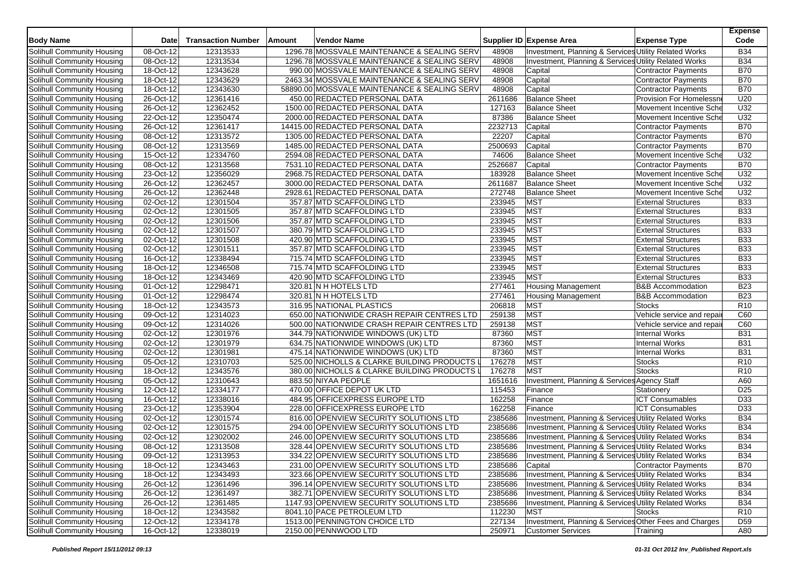| <b>Body Name</b>           | <b>Date</b> | <b>Transaction Number</b> | Amount | <b>Vendor Name</b>                           |         | Supplier ID Expense Area                               | <b>Expense Type</b>          | <b>Expense</b><br>Code |
|----------------------------|-------------|---------------------------|--------|----------------------------------------------|---------|--------------------------------------------------------|------------------------------|------------------------|
| Solihull Community Housing | 08-Oct-12   | 12313533                  |        | 1296.78 MOSSVALE MAINTENANCE & SEALING SERV  | 48908   | Investment, Planning & Services Utility Related Works  |                              | <b>B34</b>             |
| Solihull Community Housing | 08-Oct-12   | 12313534                  |        | 1296.78 MOSSVALE MAINTENANCE & SEALING SERV  | 48908   | Investment, Planning & Services Utility Related Works  |                              | <b>B34</b>             |
| Solihull Community Housing | $18-Oct-12$ | 12343628                  |        | 990.00 MOSSVALE MAINTENANCE & SEALING SERV   | 48908   | Capital                                                | <b>Contractor Payments</b>   | <b>B70</b>             |
| Solihull Community Housing | 18-Oct-12   | 12343629                  |        | 2463.34 MOSSVALE MAINTENANCE & SEALING SERV  | 48908   | Capital                                                | <b>Contractor Payments</b>   | <b>B70</b>             |
| Solihull Community Housing | 18-Oct-12   | 12343630                  |        | 58890.00 MOSSVALE MAINTENANCE & SEALING SERV | 48908   | Capital                                                | <b>Contractor Payments</b>   | <b>B70</b>             |
| Solihull Community Housing | 26-Oct-12   | 12361416                  |        | 450.00 REDACTED PERSONAL DATA                | 2611686 | <b>Balance Sheet</b>                                   | Provision For Homelessn      | U20                    |
| Solihull Community Housing | 26-Oct-12   | 12362452                  |        | 1500.00 REDACTED PERSONAL DATA               | 127163  | <b>Balance Sheet</b>                                   | Movement Incentive Sche      | U32                    |
| Solihull Community Housing | 22-Oct-12   | 12350474                  |        | 2000.00 REDACTED PERSONAL DATA               | 87386   | <b>Balance Sheet</b>                                   | Movement Incentive Sche      | U32                    |
| Solihull Community Housing | 26-Oct-12   | 12361417                  |        | 14415.00 REDACTED PERSONAL DATA              | 2232713 | Capital                                                | <b>Contractor Payments</b>   | <b>B70</b>             |
| Solihull Community Housing | 08-Oct-12   | 12313572                  |        | 1305.00 REDACTED PERSONAL DATA               | 22207   | Capital                                                | <b>Contractor Payments</b>   | <b>B70</b>             |
| Solihull Community Housing | 08-Oct-12   | 12313569                  |        | 1485.00 REDACTED PERSONAL DATA               | 2500693 | Capital                                                | <b>Contractor Payments</b>   | <b>B70</b>             |
| Solihull Community Housing | 15-Oct-12   | 12334760                  |        | 2594.08 REDACTED PERSONAL DATA               | 74606   | <b>Balance Sheet</b>                                   | Movement Incentive Sche      | U32                    |
| Solihull Community Housing | 08-Oct-12   | 12313568                  |        | 7531.10 REDACTED PERSONAL DATA               | 2526687 | Capital                                                | <b>Contractor Payments</b>   | <b>B70</b>             |
| Solihull Community Housing | 23-Oct-12   | 12356029                  |        | 2968.75 REDACTED PERSONAL DATA               | 183928  | <b>Balance Sheet</b>                                   | Movement Incentive Sche      | U32                    |
| Solihull Community Housing | 26-Oct-12   | 12362457                  |        | 3000.00 REDACTED PERSONAL DATA               | 2611687 | <b>Balance Sheet</b>                                   | Movement Incentive Sche      | U32                    |
| Solihull Community Housing | 26-Oct-12   | 12362448                  |        | 2928.61 REDACTED PERSONAL DATA               | 272748  | <b>Balance Sheet</b>                                   | Movement Incentive Sche      | U32                    |
| Solihull Community Housing | 02-Oct-12   | 12301504                  |        | 357.87 MTD SCAFFOLDING LTD                   | 233945  | <b>MST</b>                                             | <b>External Structures</b>   | <b>B33</b>             |
| Solihull Community Housing | 02-Oct-12   | 12301505                  |        | 357.87 MTD SCAFFOLDING LTD                   | 233945  | <b>MST</b>                                             | <b>External Structures</b>   | <b>B33</b>             |
| Solihull Community Housing | 02-Oct-12   | 12301506                  |        | 357.87 MTD SCAFFOLDING LTD                   | 233945  | <b>MST</b>                                             | <b>External Structures</b>   | <b>B33</b>             |
| Solihull Community Housing | 02-Oct-12   | 12301507                  |        | 380.79 MTD SCAFFOLDING LTD                   | 233945  | <b>MST</b>                                             | <b>External Structures</b>   | <b>B33</b>             |
| Solihull Community Housing | 02-Oct-12   | 12301508                  |        | 420.90 MTD SCAFFOLDING LTD                   | 233945  | MST                                                    | <b>External Structures</b>   | <b>B33</b>             |
| Solihull Community Housing | 02-Oct-12   | 12301511                  |        | 357.87 MTD SCAFFOLDING LTD                   | 233945  | <b>MST</b>                                             | <b>External Structures</b>   | <b>B33</b>             |
| Solihull Community Housing | 16-Oct-12   | 12338494                  |        | 715.74 MTD SCAFFOLDING LTD                   | 233945  | <b>MST</b>                                             | <b>External Structures</b>   | <b>B33</b>             |
| Solihull Community Housing | 18-Oct-12   | 12346508                  |        | 715.74 MTD SCAFFOLDING LTD                   | 233945  | <b>MST</b>                                             | <b>External Structures</b>   | <b>B33</b>             |
| Solihull Community Housing | 18-Oct-12   | 12343469                  |        | 420.90 MTD SCAFFOLDING LTD                   | 233945  | <b>MST</b>                                             | <b>External Structures</b>   | <b>B33</b>             |
| Solihull Community Housing | 01-Oct-12   | 12298471                  |        | 320.81 N H HOTELS LTD                        | 277461  | <b>Housing Management</b>                              | <b>B&amp;B Accommodation</b> | <b>B23</b>             |
| Solihull Community Housing | 01-Oct-12   | 12298474                  |        | 320.81 N H HOTELS LTD                        | 277461  | <b>Housing Management</b>                              | <b>B&amp;B Accommodation</b> | <b>B23</b>             |
| Solihull Community Housing | 18-Oct-12   | 12343573                  |        | 316.95 NATIONAL PLASTICS                     | 206818  | <b>MST</b>                                             | <b>Stocks</b>                | R <sub>10</sub>        |
| Solihull Community Housing | $09-Oct-12$ | 12314023                  |        | 650.00 NATIONWIDE CRASH REPAIR CENTRES LTD   | 259138  | <b>MST</b>                                             | Vehicle service and repai    | C60                    |
| Solihull Community Housing | 09-Oct-12   | 12314026                  |        | 500.00 NATIONWIDE CRASH REPAIR CENTRES LTD   | 259138  | <b>MST</b>                                             | Vehicle service and repai    | C60                    |
| Solihull Community Housing | 02-Oct-12   | 12301976                  |        | 344.79 NATIONWIDE WINDOWS (UK) LTD           | 87360   | MST                                                    | <b>Internal Works</b>        | <b>B31</b>             |
| Solihull Community Housing | 02-Oct-12   | 12301979                  |        | 634.75 NATIONWIDE WINDOWS (UK) LTD           | 87360   | <b>MST</b>                                             | <b>Internal Works</b>        | <b>B31</b>             |
| Solihull Community Housing | 02-Oct-12   | 12301981                  |        | 475.14 NATIONWIDE WINDOWS (UK) LTD           | 87360   | <b>MST</b>                                             | <b>Internal Works</b>        | <b>B31</b>             |
| Solihull Community Housing | 05-Oct-12   | 12310703                  |        | 525.00 NICHOLLS & CLARKE BUILDING PRODUCTS I | 176278  | MST                                                    | <b>Stocks</b>                | R <sub>10</sub>        |
| Solihull Community Housing | 18-Oct-12   | 12343576                  |        | 380.00 NICHOLLS & CLARKE BUILDING PRODUCTS L | 176278  | <b>MST</b>                                             | <b>Stocks</b>                | R <sub>10</sub>        |
| Solihull Community Housing | 05-Oct-12   | 12310643                  |        | 883.50 NIYAA PEOPLE                          | 1651616 | Investment, Planning & Services Agency Staff           |                              | A60                    |
| Solihull Community Housing | 12-Oct-12   | 12334177                  |        | 470.00 OFFICE DEPOT UK LTD                   | 115453  | Finance                                                | Stationery                   | D <sub>25</sub>        |
| Solihull Community Housing | 16-Oct-12   | 12338016                  |        | 484.95 OFFICEXPRESS EUROPE LTD               | 162258  | Finance                                                | <b>ICT Consumables</b>       | D33                    |
| Solihull Community Housing | 23-Oct-12   | 12353904                  |        | 228.00 OFFICEXPRESS EUROPE LTD               | 162258  | Finance                                                | <b>ICT Consumables</b>       | D33                    |
| Solihull Community Housing | 02-Oct-12   | 12301574                  |        | 816.00 OPENVIEW SECURITY SOLUTIONS LTD       | 2385686 | Investment, Planning & Services Utility Related Works  |                              | <b>B34</b>             |
| Solihull Community Housing | 02-Oct-12   | 12301575                  |        | 294.00 OPENVIEW SECURITY SOLUTIONS LTD       | 2385686 | Investment, Planning & Services Utility Related Works  |                              | <b>B34</b>             |
| Solihull Community Housing | 02-Oct-12   | 12302002                  |        | 246.00 OPENVIEW SECURITY SOLUTIONS LTD       | 2385686 | Investment, Planning & Services Utility Related Works  |                              | <b>B34</b>             |
| Solihull Community Housing | 08-Oct-12   | 12313508                  |        | 328.44 OPENVIEW SECURITY SOLUTIONS LTD       | 2385686 | Investment, Planning & Services Utility Related Works  |                              | <b>B34</b>             |
| Solihull Community Housing | 09-Oct-12   | 12313953                  |        | 334.22 OPENVIEW SECURITY SOLUTIONS LTD       | 2385686 | Investment, Planning & Services Utility Related Works  |                              | <b>B34</b>             |
| Solihull Community Housing | 18-Oct-12   | 12343463                  |        | 231.00 OPENVIEW SECURITY SOLUTIONS LTD       | 2385686 | Capital                                                | <b>Contractor Payments</b>   | <b>B70</b>             |
| Solihull Community Housing | 18-Oct-12   | 12343493                  |        | 323.66 OPENVIEW SECURITY SOLUTIONS LTD       | 2385686 | Investment, Planning & Services Utility Related Works  |                              | <b>B34</b>             |
| Solihull Community Housing | 26-Oct-12   | 12361496                  |        | 396.14 OPENVIEW SECURITY SOLUTIONS LTD       | 2385686 | Investment, Planning & Services Utility Related Works  |                              | <b>B34</b>             |
| Solihull Community Housing | 26-Oct-12   | 12361497                  |        | 382.71 OPENVIEW SECURITY SOLUTIONS LTD       | 2385686 | Investment, Planning & Services Utility Related Works  |                              | <b>B34</b>             |
| Solihull Community Housing | 26-Oct-12   | 12361485                  |        | 1147.93 OPENVIEW SECURITY SOLUTIONS LTD      | 2385686 | Investment, Planning & Services Utility Related Works  |                              | <b>B34</b>             |
| Solihull Community Housing | 18-Oct-12   | 12343582                  |        | 8041.10 PACE PETROLEUM LTD                   | 112230  | <b>MST</b>                                             | <b>Stocks</b>                | R <sub>10</sub>        |
| Solihull Community Housing | 12-Oct-12   | 12334178                  |        | 1513.00 PENNINGTON CHOICE LTD                | 227134  | Investment, Planning & Services Other Fees and Charges |                              | D <sub>59</sub>        |
| Solihull Community Housing | 16-Oct-12   | 12338019                  |        | 2150.00 PENNWOOD LTD                         | 250971  | <b>Customer Services</b>                               | Training                     | A80                    |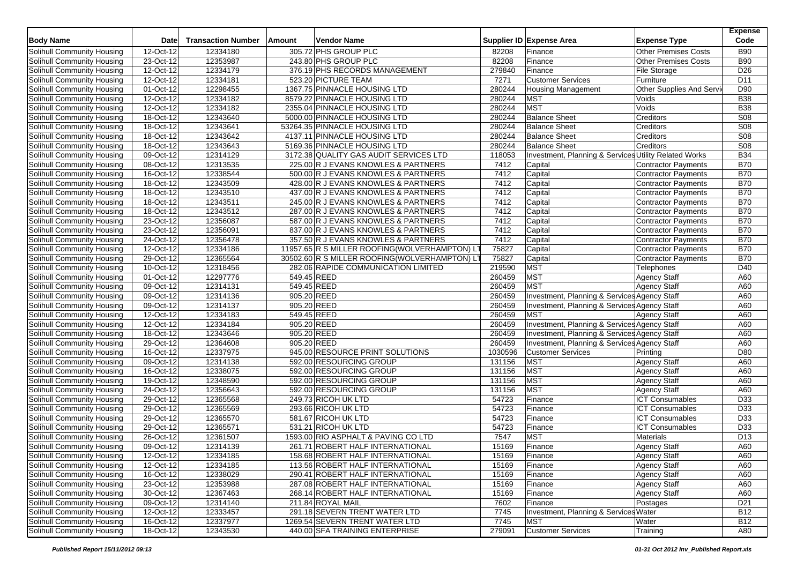| <b>Body Name</b>                                         | Date                   | <b>Transaction Number</b> | Amount      | <b>Vendor Name</b>                                                   |                | Supplier ID Expense Area                                | <b>Expense Type</b>          | <b>Expense</b><br>Code |
|----------------------------------------------------------|------------------------|---------------------------|-------------|----------------------------------------------------------------------|----------------|---------------------------------------------------------|------------------------------|------------------------|
| Solihull Community Housing                               | 12-Oct-12              | 12334180                  |             | 305.72 PHS GROUP PLC                                                 | 82208          | Finance                                                 | <b>Other Premises Costs</b>  | <b>B90</b>             |
| Solihull Community Housing                               | 23-Oct-12              | 12353987                  |             | 243.80 PHS GROUP PLC                                                 | 82208          | Finance                                                 | Other Premises Costs         | <b>B90</b>             |
| Solihull Community Housing                               | 12-Oct-12              | 12334179                  |             | 376.19 PHS RECORDS MANAGEMENT                                        | 279840         | Finance                                                 | <b>File Storage</b>          | D <sub>26</sub>        |
| Solihull Community Housing                               | 12-Oct-12              | 12334181                  |             | 523.20 PICTURE TEAM                                                  | 7271           | <b>Customer Services</b>                                | Furniture                    | D11                    |
| Solihull Community Housing                               | 01-Oct-12              | 12298455                  |             | 1367.75 PINNACLE HOUSING LTD                                         | 280244         | <b>Housing Management</b>                               | Other Supplies And Servi     | D90                    |
| Solihull Community Housing                               | 12-Oct-12              | 12334182                  |             | 8579.22 PINNACLE HOUSING LTD                                         | 280244         | <b>MST</b>                                              | Voids                        | <b>B38</b>             |
| Solihull Community Housing                               | 12-Oct-12              | 12334182                  |             | 2355.04 PINNACLE HOUSING LTD                                         | 280244         | <b>MST</b>                                              | Voids                        | <b>B38</b>             |
| Solihull Community Housing                               | 18-Oct-12              | 12343640                  |             | 5000.00 PINNACLE HOUSING LTD                                         | 280244         | <b>Balance Sheet</b>                                    | Creditors                    | S <sub>08</sub>        |
| Solihull Community Housing                               | 18-Oct-12              | 12343641                  |             | 53264.35 PINNACLE HOUSING LTD                                        | 280244         | <b>Balance Sheet</b>                                    | Creditors                    | S <sub>08</sub>        |
| Solihull Community Housing                               | 18-Oct-12              | 12343642                  |             | 4137.11 PINNACLE HOUSING LTD                                         | 280244         | <b>Balance Sheet</b>                                    | Creditors                    | <b>S08</b>             |
| Solihull Community Housing                               | 18-Oct-12              | 12343643                  |             | 5169.36 PINNACLE HOUSING LTD                                         | 280244         | <b>Balance Sheet</b>                                    | Creditors                    | <b>S08</b>             |
| Solihull Community Housing                               | 09-Oct-12              | 12314129                  |             | 3172.38 QUALITY GAS AUDIT SERVICES LTD                               | 118053         | Investment, Planning & Services Utility Related Works   |                              | <b>B34</b>             |
| Solihull Community Housing                               | 08-Oct-12              | 12313535                  |             | 225.00 R J EVANS KNOWLES & PARTNERS                                  | 7412           | Capital                                                 | Contractor Payments          | <b>B70</b>             |
| Solihull Community Housing                               | 16-Oct-12              | 12338544                  |             | 500.00 R J EVANS KNOWLES & PARTNERS                                  | 7412           | Capital                                                 | Contractor Payments          | <b>B70</b>             |
| Solihull Community Housing                               | 18-Oct-12              | 12343509                  |             | 428.00 R J EVANS KNOWLES & PARTNERS                                  | 7412           | Capital                                                 | Contractor Payments          | <b>B70</b>             |
| Solihull Community Housing                               | 18-Oct-12              | 12343510                  |             | 437.00 R J EVANS KNOWLES & PARTNERS                                  | 7412           | Capital                                                 | Contractor Payments          | <b>B70</b>             |
| Solihull Community Housing                               | 18-Oct-12              | 12343511                  |             | 245.00 R J EVANS KNOWLES & PARTNERS                                  | 7412           | Capital                                                 | Contractor Payments          | <b>B70</b>             |
| Solihull Community Housing                               | 18-Oct-12              | 12343512                  |             | 287.00 R J EVANS KNOWLES & PARTNERS                                  | 7412           | Capital                                                 | Contractor Payments          | <b>B70</b>             |
| Solihull Community Housing                               | 23-Oct-12              | 12356087                  |             | 587.00 R J EVANS KNOWLES & PARTNERS                                  | 7412           | Capital                                                 | <b>Contractor Payments</b>   | <b>B70</b>             |
| Solihull Community Housing                               | 23-Oct-12              | 12356091                  |             | 837.00 R J EVANS KNOWLES & PARTNERS                                  | 7412           | Capital                                                 | Contractor Payments          | <b>B70</b>             |
| Solihull Community Housing                               | 24-Oct-12              | 12356478                  |             | 357.50 R J EVANS KNOWLES & PARTNERS                                  | 7412           | Capital                                                 | <b>Contractor Payments</b>   | <b>B70</b>             |
| Solihull Community Housing                               | 12-Oct-12              | 12334186                  |             | 11957.65 R S MILLER ROOFING(WOLVERHAMPTON) LT                        | 75827          | Capital                                                 | Contractor Payments          | <b>B70</b>             |
| Solihull Community Housing                               | 29-Oct-12              | 12365564                  |             | 30502.60 R S MILLER ROOFING(WOLVERHAMPTON) LT                        | 75827          | Capital                                                 | <b>Contractor Payments</b>   | <b>B70</b>             |
| Solihull Community Housing                               | 10-Oct-12              | 12318456                  |             | 282.06 RAPIDE COMMUNICATION LIMITED                                  | 219590         | <b>MST</b>                                              | Telephones                   | D40                    |
| Solihull Community Housing                               | 01-Oct-12              | 12297776                  | 549.45 REED |                                                                      | 260459         | <b>MST</b>                                              | <b>Agency Staff</b>          | A60                    |
| Solihull Community Housing                               | 09-Oct-12              | 12314131                  | 549.45 REED |                                                                      | 260459         | <b>MST</b>                                              | Agency Staff                 | A60                    |
| Solihull Community Housing                               | 09-Oct-12              | 12314136                  | 905.20 REED |                                                                      | 260459         | Investment, Planning & Services Agency Staff            |                              | A60                    |
| Solihull Community Housing                               | 09-Oct-12              | 12314137                  | 905.20 REED |                                                                      | 260459         | Investment, Planning & Services Agency Staff            |                              | A60                    |
| Solihull Community Housing                               | 12-Oct-12              | 12334183                  | 549.45 REED |                                                                      | 260459         | <b>MST</b>                                              | Agency Staff                 | A60                    |
| Solihull Community Housing                               | 12-Oct-12              | 12334184                  | 905.20 REED |                                                                      | 260459         | Investment, Planning & Services Agency Staff            |                              | A60                    |
| Solihull Community Housing                               | 18-Oct-12              | 12343646                  | 905.20 REED |                                                                      | 260459         | Investment, Planning & Services Agency Staff            |                              | A60                    |
| Solihull Community Housing                               | 29-Oct-12              | 12364608                  | 905.20 REED |                                                                      | 260459         | <b>Investment, Planning &amp; Services Agency Staff</b> |                              | A60                    |
| Solihull Community Housing                               | 16-Oct-12              | 12337975                  |             | 945.00 RESOURCE PRINT SOLUTIONS                                      | 1030596        | <b>Customer Services</b>                                | Printing                     | D80                    |
| <b>Solihull Community Housing</b>                        | 09-Oct-12              | 12314138                  |             | 592.00 RESOURCING GROUP                                              | 131156         | <b>MST</b>                                              | <b>Agency Staff</b>          | A60                    |
| Solihull Community Housing                               | 16-Oct-12              | 12338075                  |             | 592.00 RESOURCING GROUP                                              | 131156         | <b>MST</b>                                              | Agency Staff                 | A60                    |
| Solihull Community Housing                               | 19-Oct-12              | 12348590                  |             | 592.00 RESOURCING GROUP                                              | 131156         | <b>MST</b>                                              | <b>Agency Staff</b>          | A60                    |
| Solihull Community Housing                               | 24-Oct-12              | 12356643                  |             | 592.00 RESOURCING GROUP                                              | 131156         | <b>MST</b>                                              | Agency Staff                 | A60                    |
| Solihull Community Housing                               | 29-Oct-12              | 12365568                  |             | 249.73 RICOH UK LTD                                                  | 54723          | Finance                                                 | <b>ICT Consumables</b>       | D33                    |
| Solihull Community Housing                               | 29-Oct-12              | 12365569                  |             | 293.66 RICOH UK LTD                                                  | 54723          | Finance                                                 | <b>ICT Consumables</b>       | D33                    |
| Solihull Community Housing                               | 29-Oct-12              | 12365570                  |             | 581.67 RICOH UK LTD                                                  | 54723          | Finance                                                 | <b>ICT Consumables</b>       | D33                    |
| Solihull Community Housing                               | 29-Oct-12              | 12365571                  |             | 531.21 RICOH UK LTD                                                  | 54723          | Finance                                                 | <b>ICT Consumables</b>       | D33                    |
| Solihull Community Housing                               | 26-Oct-12              | 12361507                  |             | 1593.00 RIO ASPHALT & PAVING CO LTD                                  | 7547           | <b>MST</b>                                              | Materials                    | D <sub>13</sub>        |
| Solihull Community Housing                               | 09-Oct-12              | 12314139                  |             | 261.71 ROBERT HALF INTERNATIONAL                                     | 15169          | Finance                                                 | <b>Agency Staff</b>          | A60                    |
| Solihull Community Housing                               | 12-Oct-12              | 12334185                  |             | 158.68 ROBERT HALF INTERNATIONAL<br>113.56 ROBERT HALF INTERNATIONAL | 15169          | Finance                                                 | Agency Staff                 | A60                    |
| Solihull Community Housing                               | 12-Oct-12              | 12334185                  |             |                                                                      | 15169          | Finance                                                 | Agency Staff                 | A60                    |
| Solihull Community Housing                               | 16-Oct-12              | 12338029                  |             | 290.41 ROBERT HALF INTERNATIONAL<br>287.08 ROBERT HALF INTERNATIONAL | 15169          | Finance                                                 | Agency Staff                 | A60                    |
| Solihull Community Housing<br>Solihull Community Housing | 23-Oct-12<br>30-Oct-12 | 12353988<br>12367463      |             | 268.14 ROBERT HALF INTERNATIONAL                                     | 15169<br>15169 | Finance<br>Finance                                      | Agency Staff<br>Agency Staff | A60<br>A60             |
| Solihull Community Housing                               | 09-Oct-12              | 12314140                  |             | 211.84 ROYAL MAIL                                                    | 7602           | Finance                                                 | Postages                     | D <sub>21</sub>        |
| Solihull Community Housing                               | 12-Oct-12              | 12333457                  |             | 291.18 SEVERN TRENT WATER LTD                                        | 7745           | Investment, Planning & Services Water                   |                              | <b>B12</b>             |
| Solihull Community Housing                               | 16-Oct-12              | 12337977                  |             | 1269.54 SEVERN TRENT WATER LTD                                       | 7745           | <b>MST</b>                                              | Water                        | <b>B12</b>             |
| Solihull Community Housing                               | 18-Oct-12              | 12343530                  |             | 440.00 SFA TRAINING ENTERPRISE                                       | 279091         | <b>Customer Services</b>                                | Training                     | A80                    |
|                                                          |                        |                           |             |                                                                      |                |                                                         |                              |                        |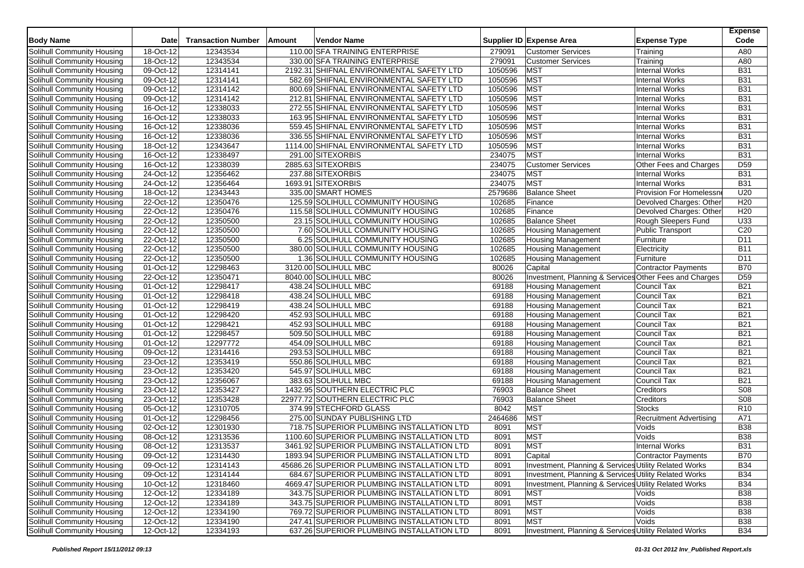| <b>Body Name</b>                  | <b>Date</b>             | <b>Transaction Number</b> | Amount | <b>Vendor Name</b>                          |         | Supplier ID Expense Area                               | <b>Expense Type</b>            | <b>Expense</b><br>Code |
|-----------------------------------|-------------------------|---------------------------|--------|---------------------------------------------|---------|--------------------------------------------------------|--------------------------------|------------------------|
| Solihull Community Housing        | 18-Oct-12               | 12343534                  |        | 110.00 SFA TRAINING ENTERPRISE              | 279091  | <b>Customer Services</b>                               | Training                       | A80                    |
| Solihull Community Housing        | 18-Oct-12               | 12343534                  |        | 330.00 SFA TRAINING ENTERPRISE              | 279091  | <b>Customer Services</b>                               | Training                       | A80                    |
| Solihull Community Housing        | 09-Oct-12               | 12314141                  |        | 2192.31 SHIFNAL ENVIRONMENTAL SAFETY LTD    | 1050596 | <b>MST</b>                                             | <b>Internal Works</b>          | <b>B31</b>             |
| Solihull Community Housing        | 09-Oct-12               | 12314141                  |        | 582.69 SHIFNAL ENVIRONMENTAL SAFETY LTD     | 1050596 | <b>MST</b>                                             | <b>Internal Works</b>          | <b>B31</b>             |
| Solihull Community Housing        | 09-Oct-12               | 12314142                  |        | 800.69 SHIFNAL ENVIRONMENTAL SAFETY LTD     | 1050596 | MST                                                    | <b>Internal Works</b>          | <b>B31</b>             |
| Solihull Community Housing        | 09-Oct-12               | 12314142                  |        | 212.81 SHIFNAL ENVIRONMENTAL SAFETY LTD     | 1050596 | <b>MST</b>                                             | <b>Internal Works</b>          | <b>B31</b>             |
| Solihull Community Housing        | 16-Oct-12               | 12338033                  |        | 272.55 SHIFNAL ENVIRONMENTAL SAFETY LTD     | 1050596 | <b>MST</b>                                             | <b>Internal Works</b>          | <b>B31</b>             |
| Solihull Community Housing        | 16-Oct-12               | 12338033                  |        | 163.95 SHIFNAL ENVIRONMENTAL SAFETY LTD     | 1050596 | <b>MST</b>                                             | <b>Internal Works</b>          | <b>B31</b>             |
| Solihull Community Housing        | 16-Oct-12               | 12338036                  |        | 559.45 SHIFNAL ENVIRONMENTAL SAFETY LTD     | 1050596 | <b>MST</b>                                             | <b>Internal Works</b>          | <b>B31</b>             |
| Solihull Community Housing        | 16-Oct-12               | 12338036                  |        | 336.55 SHIFNAL ENVIRONMENTAL SAFETY LTD     | 1050596 | <b>MST</b>                                             | <b>Internal Works</b>          | <b>B31</b>             |
| Solihull Community Housing        | 18-Oct-12               | 12343647                  |        | 1114.00 SHIFNAL ENVIRONMENTAL SAFETY LTD    | 1050596 | <b>MST</b>                                             | <b>Internal Works</b>          | <b>B31</b>             |
| Solihull Community Housing        | 16-Oct-12               | 12338497                  |        | 291.00 SITEXORBIS                           | 234075  | <b>MST</b>                                             | Internal Works                 | <b>B31</b>             |
| Solihull Community Housing        | 16-Oct-12               | 12338039                  |        | 2885.63 SITEXORBIS                          | 234075  | <b>Customer Services</b>                               | Other Fees and Charges         | D <sub>59</sub>        |
| Solihull Community Housing        | 24-Oct-12               | 12356462                  |        | 237.88 SITEXORBIS                           | 234075  | <b>MST</b>                                             | <b>Internal Works</b>          | <b>B31</b>             |
| Solihull Community Housing        | 24-Oct-12               | 12356464                  |        | 1693.91 SITEXORBIS                          | 234075  | <b>MST</b>                                             | <b>Internal Works</b>          | <b>B31</b>             |
| Solihull Community Housing        | 18-Oct-12               | 12343443                  |        | 335.00 SMART HOMES                          | 2579686 | <b>Balance Sheet</b>                                   | Provision For Homelessn        | U20                    |
| Solihull Community Housing        | 22-Oct-12               | 12350476                  |        | 125.59 SOLIHULL COMMUNITY HOUSING           | 102685  | Finance                                                | Devolved Charges: Other        | H <sub>20</sub>        |
| Solihull Community Housing        | 22-Oct-12               | 12350476                  |        | 115.58 SOLIHULL COMMUNITY HOUSING           | 102685  | Finance                                                | Devolved Charges: Other        | H20                    |
| Solihull Community Housing        | 22-Oct-12               | 12350500                  |        | 23.15 SOLIHULL COMMUNITY HOUSING            | 102685  | <b>Balance Sheet</b>                                   | Rough Sleepers Fund            | U33                    |
| Solihull Community Housing        | 22-Oct-12               | 12350500                  |        | 7.60 SOLIHULL COMMUNITY HOUSING             | 102685  | <b>Housing Management</b>                              | Public Transport               | C <sub>20</sub>        |
| Solihull Community Housing        | $\overline{22}$ -Oct-12 | 12350500                  |        | 6.25 SOLIHULL COMMUNITY HOUSING             | 102685  | <b>Housing Management</b>                              | Furniture                      | D <sub>11</sub>        |
| Solihull Community Housing        | 22-Oct-12               | 12350500                  |        | 380.00 SOLIHULL COMMUNITY HOUSING           | 102685  | <b>Housing Management</b>                              | Electricity                    | <b>B11</b>             |
| Solihull Community Housing        | $22-Oct-12$             | 12350500                  |        | 1.36 SOLIHULL COMMUNITY HOUSING             | 102685  | <b>Housing Management</b>                              | Furniture                      | D11                    |
| Solihull Community Housing        | 01-Oct-12               | 12298463                  |        | 3120.00 SOLIHULL MBC                        | 80026   | Capital                                                | Contractor Payments            | <b>B70</b>             |
| Solihull Community Housing        | 22-Oct-12               | 12350471                  |        | 8040.00 SOLIHULL MBC                        | 80026   | Investment, Planning & Services Other Fees and Charges |                                | D <sub>59</sub>        |
| <b>Solihull Community Housing</b> | 01-Oct-12               | 12298417                  |        | 438.24 SOLIHULL MBC                         | 69188   | <b>Housing Management</b>                              | Council Tax                    | <b>B21</b>             |
| Solihull Community Housing        | 01-Oct-12               | 12298418                  |        | 438.24 SOLIHULL MBC                         | 69188   | <b>Housing Management</b>                              | Council Tax                    | <b>B21</b>             |
| Solihull Community Housing        | 01-Oct-12               | 12298419                  |        | 438.24 SOLIHULL MBC                         | 69188   | <b>Housing Management</b>                              | Council Tax                    | <b>B21</b>             |
| Solihull Community Housing        | 01-Oct-12               | 12298420                  |        | 452.93 SOLIHULL MBC                         | 69188   | <b>Housing Management</b>                              | Council Tax                    | <b>B21</b>             |
| Solihull Community Housing        | 01-Oct-12               | 12298421                  |        | 452.93 SOLIHULL MBC                         | 69188   | <b>Housing Management</b>                              | Council Tax                    | <b>B21</b>             |
| Solihull Community Housing        | 01-Oct-12               | 12298457                  |        | 509.50 SOLIHULL MBC                         | 69188   | Housing Management                                     | Council Tax                    | <b>B21</b>             |
| Solihull Community Housing        | 01-Oct-12               | 12297772                  |        | 454.09 SOLIHULL MBC                         | 69188   | <b>Housing Management</b>                              | Council Tax                    | <b>B21</b>             |
| Solihull Community Housing        | 09-Oct-12               | 12314416                  |        | 293.53 SOLIHULL MBC                         | 69188   | <b>Housing Management</b>                              | Council Tax                    | <b>B21</b>             |
| <b>Solihull Community Housing</b> | 23-Oct-12               | 12353419                  |        | 550.86 SOLIHULL MBC                         | 69188   | <b>Housing Management</b>                              | Council Tax                    | <b>B21</b>             |
| Solihull Community Housing        | 23-Oct-12               | 12353420                  |        | 545.97 SOLIHULL MBC                         | 69188   | <b>Housing Management</b>                              | Council Tax                    | <b>B21</b>             |
| Solihull Community Housing        | 23-Oct-12               | 12356067                  |        | 383.63 SOLIHULL MBC                         | 69188   | <b>Housing Management</b>                              | Council Tax                    | <b>B21</b>             |
| Solihull Community Housing        | 23-Oct-12               | 12353427                  |        | 1432.95 SOUTHERN ELECTRIC PLC               | 76903   | <b>Balance Sheet</b>                                   | Creditors                      | <b>S08</b>             |
| Solihull Community Housing        | 23-Oct-12               | 12353428                  |        | 22977.72 SOUTHERN ELECTRIC PLC              | 76903   | <b>Balance Sheet</b>                                   | Creditors                      | S <sub>08</sub>        |
| Solihull Community Housing        | 05-Oct-12               | 12310705                  |        | 374.99 STECHFORD GLASS                      | 8042    | <b>MST</b>                                             | <b>Stocks</b>                  | R <sub>10</sub>        |
| Solihull Community Housing        | 01-Oct-12               | 12298456                  |        | 275.00 SUNDAY PUBLISHING LTD                | 2464686 | <b>MST</b>                                             | <b>Recruitment Advertising</b> | A71                    |
| Solihull Community Housing        | 02-Oct-12               | 12301930                  |        | 718.75 SUPERIOR PLUMBING INSTALLATION LTD   | 8091    | <b>MST</b>                                             | Voids                          | <b>B38</b>             |
| Solihull Community Housing        | 08-Oct-12               | 12313536                  |        | 1100.60 SUPERIOR PLUMBING INSTALLATION LTD  | 8091    | <b>MST</b>                                             | Voids                          | <b>B38</b>             |
| Solihull Community Housing        | 08-Oct-12               | 12313537                  |        | 3461.92 SUPERIOR PLUMBING INSTALLATION LTD  | 8091    | <b>MST</b>                                             | <b>Internal Works</b>          | <b>B31</b>             |
| Solihull Community Housing        | 09-Oct-12               | 12314430                  |        | 1893.94 SUPERIOR PLUMBING INSTALLATION LTD  | 8091    | Capital                                                | Contractor Payments            | <b>B70</b>             |
| Solihull Community Housing        | 09-Oct-12               | 12314143                  |        | 45686.26 SUPERIOR PLUMBING INSTALLATION LTD | 8091    | Investment, Planning & Services Utility Related Works  |                                | <b>B34</b>             |
| Solihull Community Housing        | 09-Oct-12               | 12314144                  |        | 684.67 SUPERIOR PLUMBING INSTALLATION LTD   | 8091    | Investment, Planning & Services Utility Related Works  |                                | <b>B34</b>             |
| Solihull Community Housing        | 10-Oct-12               | 12318460                  |        | 4669.47 SUPERIOR PLUMBING INSTALLATION LTD  | 8091    | Investment, Planning & Services Utility Related Works  |                                | <b>B34</b>             |
| Solihull Community Housing        | 12-Oct-12               | 12334189                  |        | 343.75 SUPERIOR PLUMBING INSTALLATION LTD   | 8091    | <b>MST</b>                                             | Voids                          | <b>B38</b>             |
| Solihull Community Housing        | 12-Oct-12               | 12334189                  |        | 343.75 SUPERIOR PLUMBING INSTALLATION LTD   | 8091    | <b>MST</b>                                             | Voids                          | <b>B38</b>             |
| Solihull Community Housing        | $12-Oct-12$             | 12334190                  |        | 769.72 SUPERIOR PLUMBING INSTALLATION LTD   | 8091    | MST                                                    | Voids                          | <b>B</b> 38            |
| Solihull Community Housing        | 12-Oct-12               | 12334190                  |        | 247.41 SUPERIOR PLUMBING INSTALLATION LTD   | 8091    | <b>MST</b>                                             | Voids                          | <b>B38</b>             |
| Solihull Community Housing        | 12-Oct-12               | 12334193                  |        | 637.26 SUPERIOR PLUMBING INSTALLATION LTD   | 8091    | Investment, Planning & Services Utility Related Works  |                                | <b>B34</b>             |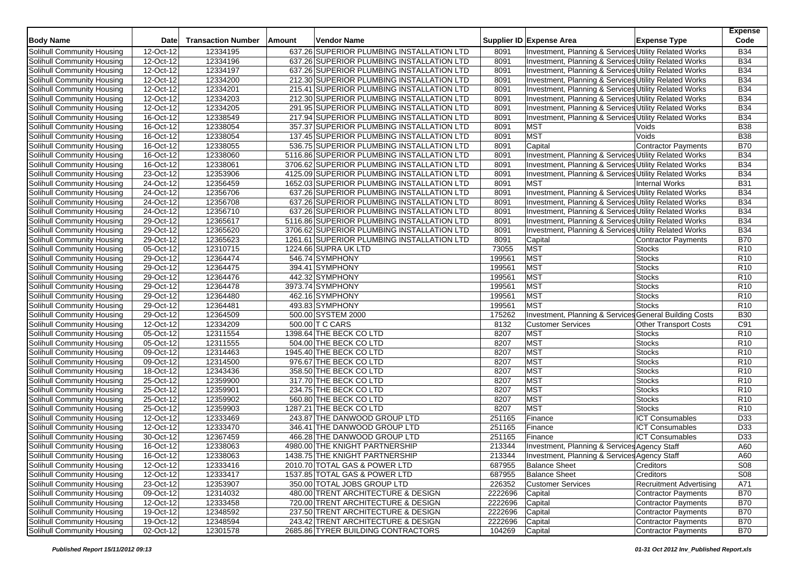| <b>Body Name</b>                  | <b>Date</b>  | <b>Transaction Number</b> | Amount | <b>Vendor Name</b>                         |         | Supplier ID Expense Area                               | <b>Expense Type</b>            | <b>Expense</b><br>Code |
|-----------------------------------|--------------|---------------------------|--------|--------------------------------------------|---------|--------------------------------------------------------|--------------------------------|------------------------|
| Solihull Community Housing        | 12-Oct-12    | 12334195                  |        | 637.26 SUPERIOR PLUMBING INSTALLATION LTD  | 8091    | Investment, Planning & Services Utility Related Works  |                                | <b>B34</b>             |
| Solihull Community Housing        | 12-Oct-12    | 12334196                  |        | 637.26 SUPERIOR PLUMBING INSTALLATION LTD  | 8091    | Investment, Planning & Services Utility Related Works  |                                | <b>B34</b>             |
| Solihull Community Housing        | 12-Oct-12    | 12334197                  |        | 637.26 SUPERIOR PLUMBING INSTALLATION LTD  | 8091    | Investment, Planning & Services Utility Related Works  |                                | <b>B34</b>             |
| Solihull Community Housing        | 12-Oct-12    | 12334200                  |        | 212.30 SUPERIOR PLUMBING INSTALLATION LTD  | 8091    | Investment, Planning & Services Utility Related Works  |                                | <b>B34</b>             |
| Solihull Community Housing        | 12-Oct-12    | 12334201                  |        | 215.41 SUPERIOR PLUMBING INSTALLATION LTD  | 8091    | Investment, Planning & Services Utility Related Works  |                                | <b>B34</b>             |
| Solihull Community Housing        | 12-Oct-12    | 12334203                  |        | 212.30 SUPERIOR PLUMBING INSTALLATION LTD  | 8091    | Investment, Planning & Services Utility Related Works  |                                | <b>B34</b>             |
| Solihull Community Housing        | 12-Oct-12    | 12334205                  |        | 291.95 SUPERIOR PLUMBING INSTALLATION LTD  | 8091    | Investment, Planning & Services Utility Related Works  |                                | <b>B34</b>             |
| Solihull Community Housing        | 16-Oct-12    | 12338549                  |        | 217.94 SUPERIOR PLUMBING INSTALLATION LTD  | 8091    | Investment, Planning & Services Utility Related Works  |                                | <b>B34</b>             |
| Solihull Community Housing        | 16-Oct-12    | 12338054                  |        | 357.37 SUPERIOR PLUMBING INSTALLATION LTD  | 8091    | <b>MST</b>                                             | Voids                          | <b>B38</b>             |
| Solihull Community Housing        | 16-Oct-12    | 12338054                  |        | 137.45 SUPERIOR PLUMBING INSTALLATION LTD  | 8091    | <b>MST</b>                                             | Voids                          | <b>B38</b>             |
| Solihull Community Housing        | 16-Oct-12    | 12338055                  |        | 536.75 SUPERIOR PLUMBING INSTALLATION LTD  | 8091    | Capital                                                | Contractor Payments            | <b>B70</b>             |
| Solihull Community Housing        | 16-Oct-12    | 12338060                  |        | 5116.86 SUPERIOR PLUMBING INSTALLATION LTD | 8091    | Investment, Planning & Services Utility Related Works  |                                | <b>B34</b>             |
| Solihull Community Housing        | 16-Oct-12    | 12338061                  |        | 3706.62 SUPERIOR PLUMBING INSTALLATION LTD | 8091    | Investment, Planning & Services Utility Related Works  |                                | <b>B34</b>             |
| Solihull Community Housing        | 23-Oct-12    | 12353906                  |        | 4125.09 SUPERIOR PLUMBING INSTALLATION LTD | 8091    | Investment, Planning & Services Utility Related Works  |                                | <b>B34</b>             |
| Solihull Community Housing        | 24-Oct-12    | 12356459                  |        | 1652.03 SUPERIOR PLUMBING INSTALLATION LTD | 8091    | <b>MST</b>                                             | <b>Internal Works</b>          | <b>B31</b>             |
| Solihull Community Housing        | 24-Oct-12    | 12356706                  |        | 637.26 SUPERIOR PLUMBING INSTALLATION LTD  | 8091    | Investment, Planning & Services Utility Related Works  |                                | <b>B34</b>             |
| Solihull Community Housing        | 24-Oct-12    | 12356708                  |        | 637.26 SUPERIOR PLUMBING INSTALLATION LTD  | 8091    | Investment, Planning & Services Utility Related Works  |                                | <b>B34</b>             |
| Solihull Community Housing        | 24-Oct-12    | 12356710                  |        | 637.26 SUPERIOR PLUMBING INSTALLATION LTD  | 8091    | Investment, Planning & Services Utility Related Works  |                                | <b>B34</b>             |
| Solihull Community Housing        | 29-Oct-12    | 12365617                  |        | 5116.86 SUPERIOR PLUMBING INSTALLATION LTD | 8091    | Investment, Planning & Services Utility Related Works  |                                | <b>B34</b>             |
| Solihull Community Housing        | 29-Oct-12    | 12365620                  |        | 3706.62 SUPERIOR PLUMBING INSTALLATION LTD | 8091    | Investment, Planning & Services Utility Related Works  |                                | <b>B34</b>             |
| Solihull Community Housing        | 29-Oct-12    | 12365623                  |        | 1261.61 SUPERIOR PLUMBING INSTALLATION LTD | 8091    | Capital                                                | <b>Contractor Payments</b>     | <b>B70</b>             |
| Solihull Community Housing        | 05-Oct-12    | 12310715                  |        | 1224.66 SUPRA UK LTD                       | 73055   | <b>MST</b>                                             | <b>Stocks</b>                  | R <sub>10</sub>        |
| Solihull Community Housing        | 29-Oct-12    | 12364474                  |        | 546.74 SYMPHONY                            | 199561  | <b>MST</b>                                             | <b>Stocks</b>                  | R <sub>10</sub>        |
| Solihull Community Housing        | 29-Oct-12    | 12364475                  |        | 394.41 SYMPHONY                            | 199561  | <b>MST</b>                                             | <b>Stocks</b>                  | R <sub>10</sub>        |
| Solihull Community Housing        | 29-Oct-12    | 12364476                  |        | 442.32 SYMPHONY                            | 199561  | MST                                                    | <b>Stocks</b>                  | R <sub>10</sub>        |
| <b>Solihull Community Housing</b> | 29-Oct-12    | 12364478                  |        | 3973.74 SYMPHONY                           | 199561  | <b>MST</b>                                             | <b>Stocks</b>                  | R <sub>10</sub>        |
| Solihull Community Housing        | 29-Oct-12    | 12364480                  |        | 462.16 SYMPHONY                            | 199561  | <b>MST</b>                                             | <b>Stocks</b>                  | R <sub>10</sub>        |
| Solihull Community Housing        | 29-Oct-12    | 12364481                  |        | 493.83 SYMPHONY                            | 199561  | <b>MST</b>                                             | <b>Stocks</b>                  | R <sub>10</sub>        |
| Solihull Community Housing        | 29-Oct-12    | 12364509                  |        | 500.00 SYSTEM 2000                         | 175262  | Investment, Planning & Services General Building Costs |                                | <b>B30</b>             |
| Solihull Community Housing        | 12-Oct-12    | 12334209                  |        | 500.00 T C CARS                            | 8132    | <b>Customer Services</b>                               | <b>Other Transport Costs</b>   | C91                    |
| Solihull Community Housing        | 05-Oct-12    | 12311554                  |        | 1398.64 THE BECK CO LTD                    | 8207    | <b>MST</b>                                             | <b>Stocks</b>                  | R <sub>10</sub>        |
| Solihull Community Housing        | 05-Oct-12    | 12311555                  |        | 504.00 THE BECK CO LTD                     | 8207    | <b>MST</b>                                             | <b>Stocks</b>                  | R <sub>10</sub>        |
| Solihull Community Housing        | 09-Oct-12    | 12314463                  |        | 1945.40 THE BECK CO LTD                    | 8207    | <b>MST</b>                                             | Stocks                         | R <sub>10</sub>        |
| Solihull Community Housing        | 09-Oct-12    | 12314500                  |        | 976.67 THE BECK CO LTD                     | 8207    | <b>MST</b>                                             | <b>Stocks</b>                  | R <sub>10</sub>        |
| Solihull Community Housing        | 18-Oct-12    | 12343436                  |        | 358.50 THE BECK CO LTD                     | 8207    | <b>MST</b>                                             | <b>Stocks</b>                  | R <sub>10</sub>        |
| Solihull Community Housing        | 25-Oct-12    | 12359900                  |        | 317.70 THE BECK CO LTD                     | 8207    | <b>MST</b>                                             | <b>Stocks</b>                  | R <sub>10</sub>        |
| Solihull Community Housing        | 25-Oct-12    | 12359901                  |        | 234.75 THE BECK CO LTD                     | 8207    | <b>MST</b>                                             | <b>Stocks</b>                  | R <sub>10</sub>        |
| Solihull Community Housing        | 25-Oct-12    | 12359902                  |        | 560.80 THE BECK CO LTD                     | 8207    | <b>MST</b>                                             | <b>Stocks</b>                  | R <sub>10</sub>        |
| Solihull Community Housing        | 25-Oct-12    | 12359903                  |        | 1287.21 THE BECK CO LTD                    | 8207    | <b>MST</b>                                             | <b>Stocks</b>                  | R10                    |
| Solihull Community Housing        | 12-Oct-12    | 12333469                  |        | 243.87 THE DANWOOD GROUP LTD               | 251165  | Finance                                                | <b>ICT Consumables</b>         | D33                    |
| Solihull Community Housing        | 12-Oct-12    | 12333470                  |        | 346.41 THE DANWOOD GROUP LTD               | 251165  | Finance                                                | <b>ICT Consumables</b>         | D33                    |
| Solihull Community Housing        | 30-Oct-12    | 12367459                  |        | 466.28 THE DANWOOD GROUP LTD               | 251165  | Finance                                                | <b>ICT Consumables</b>         | D33                    |
| Solihull Community Housing        | 16-Oct-12    | 12338063                  |        | 4980.00 THE KNIGHT PARTNERSHIP             | 213344  | Investment, Planning & Services Agency Staff           |                                | A60                    |
| Solihull Community Housing        | $16$ -Oct-12 | 12338063                  |        | 1438.75 THE KNIGHT PARTNERSHIP             | 213344  | Investment, Planning & Services Agency Staff           |                                | A60                    |
| Solihull Community Housing        | 12-Oct-12    | 12333416                  |        | 2010.70 TOTAL GAS & POWER LTD              | 687955  | <b>Balance Sheet</b>                                   | Creditors                      | S08                    |
| Solihull Community Housing        | 12-Oct-12    | 12333417                  |        | 1537.85 TOTAL GAS & POWER LTD              | 687955  | <b>Balance Sheet</b>                                   | Creditors                      | S <sub>08</sub>        |
| Solihull Community Housing        | 23-Oct-12    | 12353907                  |        | 350.00 TOTAL JOBS GROUP LTD                | 226352  | <b>Customer Services</b>                               | <b>Recruitment Advertising</b> | A71                    |
| Solihull Community Housing        | 09-Oct-12    | 12314032                  |        | 480.00 TRENT ARCHITECTURE & DESIGN         | 2222696 | Capital                                                | <b>Contractor Payments</b>     | <b>B70</b>             |
| Solihull Community Housing        | 12-Oct-12    | 12333458                  |        | 720.00 TRENT ARCHITECTURE & DESIGN         | 2222696 | Capital                                                | <b>Contractor Payments</b>     | <b>B70</b>             |
| Solihull Community Housing        | 19-Oct-12    | 12348592                  |        | 237.50 TRENT ARCHITECTURE & DESIGN         | 2222696 | Capital                                                | Contractor Payments            | <b>B70</b>             |
| Solihull Community Housing        | 19-Oct-12    | 12348594                  |        | 243.42 TRENT ARCHITECTURE & DESIGN         | 2222696 | Capital                                                | Contractor Payments            | <b>B70</b>             |
| Solihull Community Housing        | 02-Oct-12    | 12301578                  |        | 2685.86 TYRER BUILDING CONTRACTORS         | 104269  | Capital                                                | <b>Contractor Payments</b>     | <b>B70</b>             |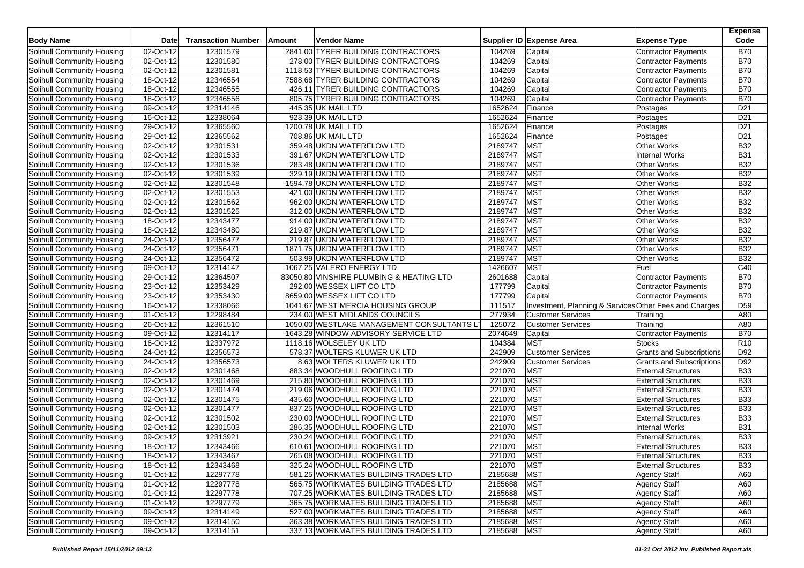| <b>Body Name</b>           | Date        | <b>Transaction Number</b> | <b>Vendor Name</b><br>Amount              |             | Supplier ID Expense Area<br><b>Expense Type</b>             | <b>Expense</b><br>Code |
|----------------------------|-------------|---------------------------|-------------------------------------------|-------------|-------------------------------------------------------------|------------------------|
| Solihull Community Housing | 02-Oct-12   | 12301579                  | 2841.00 TYRER BUILDING CONTRACTORS        | 104269      | Capital<br><b>Contractor Payments</b>                       | <b>B70</b>             |
| Solihull Community Housing | 02-Oct-12   | 12301580                  | 278.00 TYRER BUILDING CONTRACTORS         | 104269      | Capital<br><b>Contractor Payments</b>                       | <b>B70</b>             |
| Solihull Community Housing | 02-Oct-12   | 12301581                  | 1118.53 TYRER BUILDING CONTRACTORS        | 104269      | Capital<br><b>Contractor Payments</b>                       | <b>B70</b>             |
| Solihull Community Housing | 18-Oct-12   | 12346554                  | 7588.68 TYRER BUILDING CONTRACTORS        | 104269      | Capital<br><b>Contractor Payments</b>                       | <b>B70</b>             |
| Solihull Community Housing | 18-Oct-12   | 12346555                  | 426.11 TYRER BUILDING CONTRACTORS         | 104269      | Capital<br><b>Contractor Payments</b>                       | <b>B70</b>             |
| Solihull Community Housing | $18-Oct-12$ | 12346556                  | 805.75 TYRER BUILDING CONTRACTORS         | 104269      | Capital<br><b>Contractor Payments</b>                       | <b>B70</b>             |
| Solihull Community Housing | 09-Oct-12   | 12314146                  | 445.35 UK MAIL LTD                        | 1652624     | Finance<br>Postages                                         | D21                    |
| Solihull Community Housing | 16-Oct-12   | 12338064                  | 928.39 UK MAIL LTD                        | 1652624     | Finance<br>Postages                                         | D <sub>21</sub>        |
| Solihull Community Housing | 29-Oct-12   | 12365560                  | 1200.78 UK MAIL LTD                       | 1652624     | Finance<br>Postages                                         | D <sub>21</sub>        |
| Solihull Community Housing | 29-Oct-12   | 12365562                  | 708.86 UK MAIL LTD                        | 1652624     | Finance<br>Postages                                         | D <sub>21</sub>        |
| Solihull Community Housing | 02-Oct-12   | 12301531                  | 359.48 UKDN WATERFLOW LTD                 | 2189747     | MST<br>Other Works                                          | <b>B32</b>             |
| Solihull Community Housing | 02-Oct-12   | 12301533                  | 391.67 UKDN WATERFLOW LTD                 | 2189747     | <b>MST</b><br><b>Internal Works</b>                         | <b>B31</b>             |
| Solihull Community Housing | 02-Oct-12   | 12301536                  | 283.48 UKDN WATERFLOW LTD                 | 2189747     | <b>MST</b><br>Other Works                                   | <b>B32</b>             |
| Solihull Community Housing | 02-Oct-12   | 12301539                  | 329.19 UKDN WATERFLOW LTD                 | 2189747     | MST<br>Other Works                                          | <b>B32</b>             |
| Solihull Community Housing | 02-Oct-12   | 12301548                  | 1594.78 UKDN WATERFLOW LTD                | 2189747     | <b>MST</b><br><b>Other Works</b>                            | <b>B32</b>             |
| Solihull Community Housing | 02-Oct-12   | 12301553                  | 421.00 UKDN WATERFLOW LTD                 | 2189747     | <b>MST</b><br>Other Works                                   | <b>B32</b>             |
| Solihull Community Housing | 02-Oct-12   | 12301562                  | 962.00 UKDN WATERFLOW LTD                 | 2189747     | <b>MST</b><br>Other Works                                   | <b>B32</b>             |
| Solihull Community Housing | 02-Oct-12   | 12301525                  | 312.00 UKDN WATERFLOW LTD                 | 2189747     | MST<br>Other Works                                          | <b>B32</b>             |
| Solihull Community Housing | 18-Oct-12   | 12343477                  | 914.00 UKDN WATERFLOW LTD                 | 2189747     | <b>MST</b><br>Other Works                                   | <b>B32</b>             |
| Solihull Community Housing | 18-Oct-12   | 12343480                  | 219.87 UKDN WATERFLOW LTD                 | 2189747     | MST<br><b>Other Works</b>                                   | <b>B32</b>             |
| Solihull Community Housing | 24-Oct-12   | 12356477                  | 219.87 UKDN WATERFLOW LTD                 | 2189747     | <b>MST</b><br><b>Other Works</b>                            | <b>B32</b>             |
| Solihull Community Housing | 24-Oct-12   | 12356471                  | 1871.75 UKDN WATERFLOW LTD                | 2189747     | <b>MST</b><br>Other Works                                   | <b>B32</b>             |
| Solihull Community Housing | 24-Oct-12   | 12356472                  | 503.99 UKDN WATERFLOW LTD                 | 2189747     | <b>MST</b><br>Other Works                                   | <b>B32</b>             |
| Solihull Community Housing | 09-Oct-12   | 12314147                  | 1067.25 VALERO ENERGY LTD                 | 1426607     | <b>MST</b><br>Fuel                                          | C40                    |
| Solihull Community Housing | 29-Oct-12   | 12364507                  | 83050.80 VINSHIRE PLUMBING & HEATING LTD  | 2601688     | Capital<br><b>Contractor Payments</b>                       | <b>B70</b>             |
| Solihull Community Housing | 23-Oct-12   | 12353429                  | 292.00 WESSEX LIFT CO LTD                 | 177799      | Capital<br><b>Contractor Payments</b>                       | <b>B70</b>             |
| Solihull Community Housing | 23-Oct-12   | 12353430                  | 8659.00 WESSEX LIFT CO LTD                | 177799      | Capital<br><b>Contractor Payments</b>                       | <b>B70</b>             |
| Solihull Community Housing | 16-Oct-12   | 12338066                  | 1041.67 WEST MERCIA HOUSING GROUP         | 111517      | Investment, Planning & Services Other Fees and Charges      | D <sub>59</sub>        |
| Solihull Community Housing | 01-Oct-12   | 12298484                  | 234.00 WEST MIDLANDS COUNCILS             | 277934      | <b>Customer Services</b><br>Training                        | A80                    |
| Solihull Community Housing | 26-Oct-12   | 12361510                  | 1050.00 WESTLAKE MANAGEMENT CONSULTANTS L | 125072      | <b>Customer Services</b><br>Training                        | A80                    |
| Solihull Community Housing | $09-Oct-12$ | 12314117                  | 1643.28 WINDOW ADVISORY SERVICE LTD       | 2074649     | Capital<br>Contractor Payments                              | <b>B70</b>             |
| Solihull Community Housing | 16-Oct-12   | 12337972                  | 1118.16 WOLSELEY UK LTD                   | 104384      | <b>MST</b><br><b>Stocks</b>                                 | R10                    |
| Solihull Community Housing | 24-Oct-12   | 12356573                  | 578.37 WOLTERS KLUWER UK LTD              | 242909      | <b>Customer Services</b><br><b>Grants and Subscriptions</b> | D <sub>92</sub>        |
| Solihull Community Housing | 24-Oct-12   | 12356573                  | 8.63 WOLTERS KLUWER UK LTD                | 242909      | <b>Customer Services</b><br><b>Grants and Subscriptions</b> | D92                    |
| Solihull Community Housing | 02-Oct-12   | 12301468                  | 883.34 WOODHULL ROOFING LTD               | 221070      | <b>MST</b><br><b>External Structures</b>                    | <b>B33</b>             |
| Solihull Community Housing | 02-Oct-12   | 12301469                  | 215.80 WOODHULL ROOFING LTD               | 221070      | MST<br><b>External Structures</b>                           | <b>B33</b>             |
| Solihull Community Housing | 02-Oct-12   | 12301474                  | 219.06 WOODHULL ROOFING LTD               | 221070      | <b>MST</b><br><b>External Structures</b>                    | <b>B33</b>             |
| Solihull Community Housing | 02-Oct-12   | 12301475                  | 435.60 WOODHULL ROOFING LTD               | 221070      | <b>MST</b><br><b>External Structures</b>                    | <b>B33</b>             |
| Solihull Community Housing | 02-Oct-12   | 12301477                  | 837.25 WOODHULL ROOFING LTD               | 221070      | MST<br><b>External Structures</b>                           | <b>B33</b>             |
| Solihull Community Housing | 02-Oct-12   | 12301502                  | 230.00 WOODHULL ROOFING LTD               | 221070      | <b>MST</b><br><b>External Structures</b>                    | <b>B33</b>             |
| Solihull Community Housing | 02-Oct-12   | 12301503                  | 286.35 WOODHULL ROOFING LTD               | 221070      | <b>MST</b><br><b>Internal Works</b>                         | <b>B31</b>             |
| Solihull Community Housing | 09-Oct-12   | 12313921                  | 230.24 WOODHULL ROOFING LTD               | 221070      | <b>MST</b><br><b>External Structures</b>                    | <b>B33</b>             |
| Solihull Community Housing | 18-Oct-12   | 12343466                  | 610.61 WOODHULL ROOFING LTD               | 221070      | <b>MST</b><br><b>External Structures</b>                    | <b>B33</b>             |
| Solihull Community Housing | 18-Oct-12   | 12343467                  | 265.08 WOODHULL ROOFING LTD               | 221070      | MST<br>External Structures                                  | <b>B33</b>             |
| Solihull Community Housing | 18-Oct-12   | 12343468                  | 325.24 WOODHULL ROOFING LTD               | 221070      | <b>MST</b><br><b>External Structures</b>                    | <b>B33</b>             |
| Solihull Community Housing | 01-Oct-12   | 12297778                  | 581.25 WORKMATES BUILDING TRADES LTD      | 2185688     | <b>MST</b><br><b>Agency Staff</b>                           | A60                    |
| Solihull Community Housing | 01-Oct-12   | 12297778                  | 565.75 WORKMATES BUILDING TRADES LTD      | 2185688     | <b>MST</b><br><b>Agency Staff</b>                           | A60                    |
| Solihull Community Housing | 01-Oct-12   | 12297778                  | 707.25 WORKMATES BUILDING TRADES LTD      | 2185688     | <b>MST</b><br><b>Agency Staff</b>                           | A60                    |
| Solihull Community Housing | 01-Oct-12   | 12297779                  | 365.75 WORKMATES BUILDING TRADES LTD      | 2185688     | <b>MST</b><br><b>Agency Staff</b>                           | A60                    |
| Solihull Community Housing | 09-Oct-12   | 12314149                  | 527.00 WORKMATES BUILDING TRADES LTD      | 2185688     | <b>MST</b><br><b>Agency Staff</b>                           | A60                    |
| Solihull Community Housing | 09-Oct-12   | 12314150                  | 363.38 WORKMATES BUILDING TRADES LTD      | 2185688     | <b>MST</b><br><b>Agency Staff</b>                           | A60                    |
| Solihull Community Housing | 09-Oct-12   | 12314151                  | 337.13 WORKMATES BUILDING TRADES LTD      | 2185688 MST | <b>Agency Staff</b>                                         | A60                    |